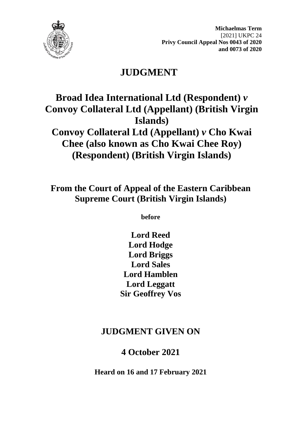

**Michaelmas Term** [2021] UKPC 24 **Privy Council Appeal Nos 0043 of 2020 and 0073 of 2020**

# **JUDGMENT**

# **Broad Idea International Ltd (Respondent)** *v* **Convoy Collateral Ltd (Appellant) (British Virgin Islands) Convoy Collateral Ltd (Appellant)** *v* **Cho Kwai**

**Chee (also known as Cho Kwai Chee Roy) (Respondent) (British Virgin Islands)**

**From the Court of Appeal of the Eastern Caribbean Supreme Court (British Virgin Islands)**

**before** 

**Lord Reed Lord Hodge Lord Briggs Lord Sales Lord Hamblen Lord Leggatt Sir Geoffrey Vos**

## **JUDGMENT GIVEN ON**

## **4 October 2021**

**Heard on 16 and 17 February 2021**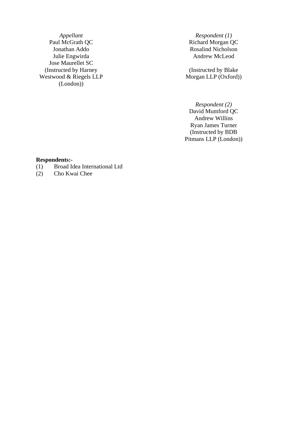*Appellant Respondent (1)*<br>Paul McGrath QC *Richard Morgan Q* Paul McGrath QC<br>
Paul McGrath QC<br>
Richard Morgan QC<br>
Rosalind Nicholson Julie Engwirda Jose Maurellet SC (Instructed by Harney Westwood & Riegels LLP (London))

Rosalind Nicholson<br>Andrew McLeod

(Instructed by Blake Morgan LLP (Oxford))

*Respondent (2)* David Mumford QC Andrew Willins Ryan James Turner (Instructed by BDB Pitmans LLP (London))

#### **Respondents:-**

- (1) Broad Idea International Ltd
- Cho Kwai Chee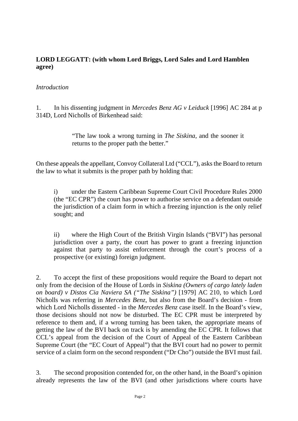#### **LORD LEGGATT: (with whom Lord Briggs, Lord Sales and Lord Hamblen agree)**

#### *Introduction*

1. In his dissenting judgment in *Mercedes Benz AG v Leiduck* [1996] AC 284 at p 314D, Lord Nicholls of Birkenhead said:

> "The law took a wrong turning in *The Siskina*, and the sooner it returns to the proper path the better."

On these appeals the appellant, Convoy Collateral Ltd ("CCL"), asks the Board to return the law to what it submits is the proper path by holding that:

i) under the Eastern Caribbean Supreme Court Civil Procedure Rules 2000 (the "EC CPR") the court has power to authorise service on a defendant outside the jurisdiction of a claim form in which a freezing injunction is the only relief sought; and

ii) where the High Court of the British Virgin Islands ("BVI") has personal jurisdiction over a party, the court has power to grant a freezing injunction against that party to assist enforcement through the court's process of a prospective (or existing) foreign judgment.

2. To accept the first of these propositions would require the Board to depart not only from the decision of the House of Lords in *Siskina (Owners of cargo lately laden on board) v Distos Cia Naviera SA ("The Siskina")* [1979] AC 210, to which Lord Nicholls was referring in *Mercedes Benz*, but also from the Board's decision - from which Lord Nicholls dissented - in the *Mercedes Benz* case itself. In the Board's view, those decisions should not now be disturbed. The EC CPR must be interpreted by reference to them and, if a wrong turning has been taken, the appropriate means of getting the law of the BVI back on track is by amending the EC CPR. It follows that CCL's appeal from the decision of the Court of Appeal of the Eastern Caribbean Supreme Court (the "EC Court of Appeal") that the BVI court had no power to permit service of a claim form on the second respondent ("Dr Cho") outside the BVI must fail.

3. The second proposition contended for, on the other hand, in the Board's opinion already represents the law of the BVI (and other jurisdictions where courts have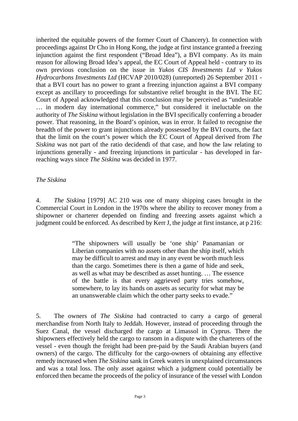inherited the equitable powers of the former Court of Chancery). In connection with proceedings against Dr Cho in Hong Kong, the judge at first instance granted a freezing injunction against the first respondent ("Broad Idea"), a BVI company. As its main reason for allowing Broad Idea's appeal, the EC Court of Appeal held - contrary to its own previous conclusion on the issue in *Yukos CIS Investments Ltd v Yukos Hydrocarbons Investments Ltd* (HCVAP 2010/028) (unreported) 26 September 2011 that a BVI court has no power to grant a freezing injunction against a BVI company except as ancillary to proceedings for substantive relief brought in the BVI. The EC Court of Appeal acknowledged that this conclusion may be perceived as "undesirable … in modern day international commerce," but considered it ineluctable on the authority of *The Siskina* without legislation in the BVI specifically conferring a broader power. That reasoning, in the Board's opinion, was in error. It failed to recognise the breadth of the power to grant injunctions already possessed by the BVI courts, the fact that the limit on the court's power which the EC Court of Appeal derived from *The Siskina* was not part of the ratio decidendi of that case, and how the law relating to injunctions generally - and freezing injunctions in particular - has developed in farreaching ways since *The Siskina* was decided in 1977.

#### *The Siskina*

4. *The Siskina* [1979] AC 210 was one of many shipping cases brought in the Commercial Court in London in the 1970s where the ability to recover money from a shipowner or charterer depended on finding and freezing assets against which a judgment could be enforced. As described by Kerr J, the judge at first instance, at p 216:

> "The shipowners will usually be 'one ship' Panamanian or Liberian companies with no assets other than the ship itself, which may be difficult to arrest and may in any event be worth much less than the cargo. Sometimes there is then a game of hide and seek, as well as what may be described as asset hunting. … The essence of the battle is that every aggrieved party tries somehow, somewhere, to lay its hands on assets as security for what may be an unanswerable claim which the other party seeks to evade."

5. The owners of *The Siskina* had contracted to carry a cargo of general merchandise from North Italy to Jeddah. However, instead of proceeding through the Suez Canal, the vessel discharged the cargo at Limassol in Cyprus. There the shipowners effectively held the cargo to ransom in a dispute with the charterers of the vessel - even though the freight had been pre-paid by the Saudi Arabian buyers (and owners) of the cargo. The difficulty for the cargo-owners of obtaining any effective remedy increased when *The Siskina* sank in Greek waters in unexplained circumstances and was a total loss. The only asset against which a judgment could potentially be enforced then became the proceeds of the policy of insurance of the vessel with London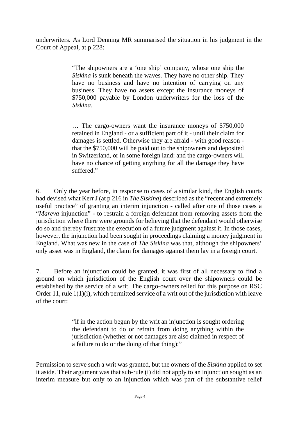underwriters. As Lord Denning MR summarised the situation in his judgment in the Court of Appeal, at p 228:

> "The shipowners are a 'one ship' company, whose one ship the *Siskina* is sunk beneath the waves. They have no other ship. They have no business and have no intention of carrying on any business. They have no assets except the insurance moneys of \$750,000 payable by London underwriters for the loss of the *Siskina*.

> … The cargo-owners want the insurance moneys of \$750,000 retained in England - or a sufficient part of it - until their claim for damages is settled. Otherwise they are afraid - with good reason that the \$750,000 will be paid out to the shipowners and deposited in Switzerland, or in some foreign land: and the cargo-owners will have no chance of getting anything for all the damage they have suffered."

6. Only the year before, in response to cases of a similar kind, the English courts had devised what Kerr J (at p 216 in *The Siskina*) described as the "recent and extremely useful practice" of granting an interim injunction - called after one of those cases a "*Mareva* injunction" - to restrain a foreign defendant from removing assets from the jurisdiction where there were grounds for believing that the defendant would otherwise do so and thereby frustrate the execution of a future judgment against it. In those cases, however, the injunction had been sought in proceedings claiming a money judgment in England. What was new in the case of *The Siskina* was that, although the shipowners' only asset was in England, the claim for damages against them lay in a foreign court.

7. Before an injunction could be granted, it was first of all necessary to find a ground on which jurisdiction of the English court over the shipowners could be established by the service of a writ. The cargo-owners relied for this purpose on RSC Order 11, rule 1(1)(i), which permitted service of a writ out of the jurisdiction with leave of the court:

> "if in the action begun by the writ an injunction is sought ordering the defendant to do or refrain from doing anything within the jurisdiction (whether or not damages are also claimed in respect of a failure to do or the doing of that thing);"

Permission to serve such a writ was granted, but the owners of the *Siskina* applied to set it aside. Their argument was that sub-rule (i) did not apply to an injunction sought as an interim measure but only to an injunction which was part of the substantive relief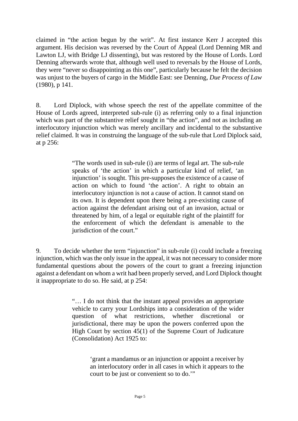claimed in "the action begun by the writ". At first instance Kerr J accepted this argument. His decision was reversed by the Court of Appeal (Lord Denning MR and Lawton LJ, with Bridge LJ dissenting), but was restored by the House of Lords. Lord Denning afterwards wrote that, although well used to reversals by the House of Lords, they were "never so disappointing as this one", particularly because he felt the decision was unjust to the buyers of cargo in the Middle East: see Denning, *Due Process of Law* (1980), p 141.

8. Lord Diplock, with whose speech the rest of the appellate committee of the House of Lords agreed, interpreted sub-rule (i) as referring only to a final injunction which was part of the substantive relief sought in "the action", and not as including an interlocutory injunction which was merely ancillary and incidental to the substantive relief claimed. It was in construing the language of the sub-rule that Lord Diplock said, at p 256:

> "The words used in sub-rule (i) are terms of legal art. The sub-rule speaks of 'the action' in which a particular kind of relief, 'an injunction' is sought. This pre-supposes the existence of a cause of action on which to found 'the action'. A right to obtain an interlocutory injunction is not a cause of action. It cannot stand on its own. It is dependent upon there being a pre-existing cause of action against the defendant arising out of an invasion, actual or threatened by him, of a legal or equitable right of the plaintiff for the enforcement of which the defendant is amenable to the jurisdiction of the court."

9. To decide whether the term "injunction" in sub-rule (i) could include a freezing injunction, which was the only issue in the appeal, it was not necessary to consider more fundamental questions about the powers of the court to grant a freezing injunction against a defendant on whom a writ had been properly served, and Lord Diplock thought it inappropriate to do so. He said, at p 254:

> "… I do not think that the instant appeal provides an appropriate vehicle to carry your Lordships into a consideration of the wider question of what restrictions, whether discretional or jurisdictional, there may be upon the powers conferred upon the High Court by section 45(1) of the Supreme Court of Judicature (Consolidation) Act 1925 to:

> > 'grant a mandamus or an injunction or appoint a receiver by an interlocutory order in all cases in which it appears to the court to be just or convenient so to do.'"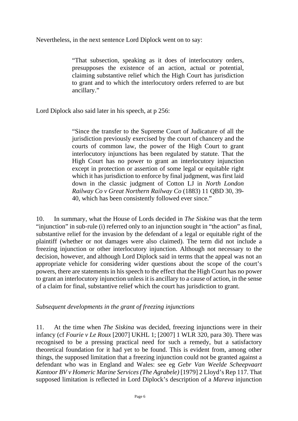Nevertheless, in the next sentence Lord Diplock went on to say:

"That subsection, speaking as it does of interlocutory orders, presupposes the existence of an action, actual or potential, claiming substantive relief which the High Court has jurisdiction to grant and to which the interlocutory orders referred to are but ancillary."

Lord Diplock also said later in his speech, at p 256:

"Since the transfer to the Supreme Court of Judicature of all the jurisdiction previously exercised by the court of chancery and the courts of common law, the power of the High Court to grant interlocutory injunctions has been regulated by statute. That the High Court has no power to grant an interlocutory injunction except in protection or assertion of some legal or equitable right which it has jurisdiction to enforce by final judgment, was first laid down in the classic judgment of Cotton LJ in *North London Railway Co v Great Northern Railway Co* (1883) 11 QBD 30, 39- 40, which has been consistently followed ever since."

10. In summary, what the House of Lords decided in *The Siskina* was that the term "injunction" in sub-rule (i) referred only to an injunction sought in "the action" as final, substantive relief for the invasion by the defendant of a legal or equitable right of the plaintiff (whether or not damages were also claimed). The term did not include a freezing injunction or other interlocutory injunction. Although not necessary to the decision, however, and although Lord Diplock said in terms that the appeal was not an appropriate vehicle for considering wider questions about the scope of the court's powers, there are statements in his speech to the effect that the High Court has no power to grant an interlocutory injunction unless it is ancillary to a cause of action, in the sense of a claim for final, substantive relief which the court has jurisdiction to grant.

#### *Subsequent developments in the grant of freezing injunctions*

11. At the time when *The Siskina* was decided, freezing injunctions were in their infancy (cf *Fourie v Le Roux* [2007] UKHL 1; [2007] 1 WLR 320, para 30). There was recognised to be a pressing practical need for such a remedy, but a satisfactory theoretical foundation for it had yet to be found. This is evident from, among other things, the supposed limitation that a freezing injunction could not be granted against a defendant who was in England and Wales: see eg *Gebr Van Weelde Scheepvaart Kantoor BV v Homeric Marine Services (The Agrabele)* [1979] 2 Lloyd's Rep 117. That supposed limitation is reflected in Lord Diplock's description of a *Mareva* injunction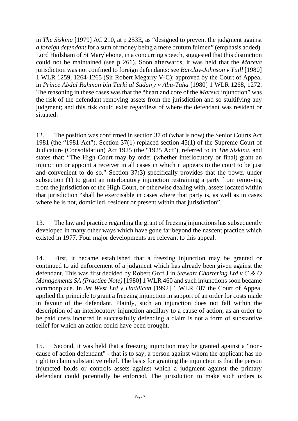in *The Siskina* [1979] AC 210, at p 253E, as "designed to prevent the judgment against *a foreign defendant* for a sum of money being a mere brutum fulmen" (emphasis added). Lord Hailsham of St Marylebone, in a concurring speech, suggested that this distinction could not be maintained (see p 261). Soon afterwards, it was held that the *Mareva* jurisdiction was not confined to foreign defendants: see *Barclay-Johnson v Yuill* [1980] 1 WLR 1259, 1264-1265 (Sir Robert Megarry V-C); approved by the Court of Appeal in *Prince Abdul Rahman bin Turki al Sudairy v Abu-Taha* [1980] 1 WLR 1268, 1272. The reasoning in these cases was that the "heart and core of the *Mareva* injunction" was the risk of the defendant removing assets from the jurisdiction and so stultifying any judgment; and this risk could exist regardless of where the defendant was resident or situated.

12. The position was confirmed in section 37 of (what is now) the Senior Courts Act 1981 (the "1981 Act"). Section 37(1) replaced section 45(1) of the Supreme Court of Judicature (Consolidation) Act 1925 (the "1925 Act"), referred to in *The Siskina*, and states that: "The High Court may by order (whether interlocutory or final) grant an injunction or appoint a receiver in all cases in which it appears to the court to be just and convenient to do so." Section 37(3) specifically provides that the power under subsection (1) to grant an interlocutory injunction restraining a party from removing from the jurisdiction of the High Court, or otherwise dealing with, assets located within that jurisdiction "shall be exercisable in cases where that party is, as well as in cases where he is not, domiciled, resident or present within that jurisdiction".

13. The law and practice regarding the grant of freezing injunctions has subsequently developed in many other ways which have gone far beyond the nascent practice which existed in 1977. Four major developments are relevant to this appeal.

14. First, it became established that a freezing injunction may be granted or continued to aid enforcement of a judgment which has already been given against the defendant. This was first decided by Robert Goff J in *Stewart Chartering Ltd v C & O Managements SA (Practice Note)* [1980] 1 WLR 460 and such injunctions soon became commonplace. In *Jet West Ltd v Haddican* [1992] 1 WLR 487 the Court of Appeal applied the principle to grant a freezing injunction in support of an order for costs made in favour of the defendant. Plainly, such an injunction does not fall within the description of an interlocutory injunction ancillary to a cause of action, as an order to be paid costs incurred in successfully defending a claim is not a form of substantive relief for which an action could have been brought.

15. Second, it was held that a freezing injunction may be granted against a "noncause of action defendant" - that is to say, a person against whom the applicant has no right to claim substantive relief. The basis for granting the injunction is that the person injuncted holds or controls assets against which a judgment against the primary defendant could potentially be enforced. The jurisdiction to make such orders is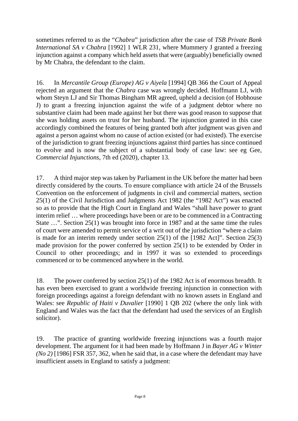sometimes referred to as the "*Chabra*" jurisdiction after the case of *TSB Private Bank International SA v Chabra* [1992] 1 WLR 231, where Mummery J granted a freezing injunction against a company which held assets that were (arguably) beneficially owned by Mr Chabra, the defendant to the claim.

16. In *Mercantile Group (Europe) AG v Aiyela* [1994] QB 366 the Court of Appeal rejected an argument that the *Chabra* case was wrongly decided. Hoffmann LJ, with whom Steyn LJ and Sir Thomas Bingham MR agreed, upheld a decision (of Hobhouse J) to grant a freezing injunction against the wife of a judgment debtor where no substantive claim had been made against her but there was good reason to suppose that she was holding assets on trust for her husband. The injunction granted in this case accordingly combined the features of being granted both after judgment was given and against a person against whom no cause of action existed (or had existed). The exercise of the jurisdiction to grant freezing injunctions against third parties has since continued to evolve and is now the subject of a substantial body of case law: see eg Gee, *Commercial Injunctions*, 7th ed (2020), chapter 13.

17. A third major step was taken by Parliament in the UK before the matter had been directly considered by the courts. To ensure compliance with article 24 of the Brussels Convention on the enforcement of judgments in civil and commercial matters, section 25(1) of the Civil Jurisdiction and Judgments Act 1982 (the "1982 Act") was enacted so as to provide that the High Court in England and Wales "shall have power to grant interim relief … where proceedings have been or are to be commenced in a Contracting State …". Section 25(1) was brought into force in 1987 and at the same time the rules of court were amended to permit service of a writ out of the jurisdiction "where a claim is made for an interim remedy under section 25(1) of the [1982 Act]". Section 25(3) made provision for the power conferred by section 25(1) to be extended by Order in Council to other proceedings; and in 1997 it was so extended to proceedings commenced or to be commenced anywhere in the world.

18. The power conferred by section 25(1) of the 1982 Act is of enormous breadth. It has even been exercised to grant a worldwide freezing injunction in connection with foreign proceedings against a foreign defendant with no known assets in England and Wales: see *Republic of Haiti v Duvalier* [1990] 1 QB 202 (where the only link with England and Wales was the fact that the defendant had used the services of an English solicitor).

19. The practice of granting worldwide freezing injunctions was a fourth major development. The argument for it had been made by Hoffmann J in *Bayer AG v Winter (No 2)* [1986] FSR 357, 362, when he said that, in a case where the defendant may have insufficient assets in England to satisfy a judgment: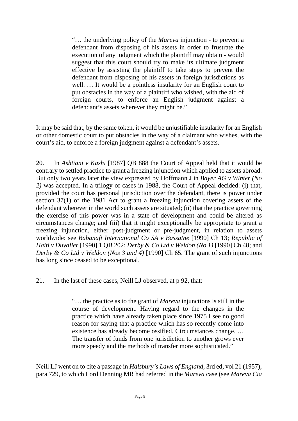"… the underlying policy of the *Mareva* injunction - to prevent a defendant from disposing of his assets in order to frustrate the execution of any judgment which the plaintiff may obtain - would suggest that this court should try to make its ultimate judgment effective by assisting the plaintiff to take steps to prevent the defendant from disposing of his assets in foreign jurisdictions as well. … It would be a pointless insularity for an English court to put obstacles in the way of a plaintiff who wished, with the aid of foreign courts, to enforce an English judgment against a defendant's assets wherever they might be."

It may be said that, by the same token, it would be unjustifiable insularity for an English or other domestic court to put obstacles in the way of a claimant who wishes, with the court's aid, to enforce a foreign judgment against a defendant's assets.

20. In *Ashtiani v Kashi* [1987] QB 888 the Court of Appeal held that it would be contrary to settled practice to grant a freezing injunction which applied to assets abroad. But only two years later the view expressed by Hoffmann J in *Bayer AG v Winter (No 2)* was accepted. In a trilogy of cases in 1988, the Court of Appeal decided: (i) that, provided the court has personal jurisdiction over the defendant, there is power under section 37(1) of the 1981 Act to grant a freezing injunction covering assets of the defendant wherever in the world such assets are situated; (ii) that the practice governing the exercise of this power was in a state of development and could be altered as circumstances change; and (iii) that it might exceptionally be appropriate to grant a freezing injunction, either post-judgment or pre-judgment, in relation to assets worldwide: see *Babanaft International Co SA v Bassatne* [1990] Ch 13; *Republic of Haiti v Duvalier* [1990] 1 QB 202; *Derby & Co Ltd v Weldon (No 1)* [1990] Ch 48; and *Derby & Co Ltd v Weldon (Nos 3 and 4)* [1990] Ch 65. The grant of such injunctions has long since ceased to be exceptional.

21. In the last of these cases, Neill LJ observed, at p 92, that:

"… the practice as to the grant of *Mareva* injunctions is still in the course of development. Having regard to the changes in the practice which have already taken place since 1975 I see no good reason for saying that a practice which has so recently come into existence has already become ossified. Circumstances change. … The transfer of funds from one jurisdiction to another grows ever more speedy and the methods of transfer more sophisticated."

Neill LJ went on to cite a passage in *Halsbury's Laws of England*, 3rd ed, vol 21 (1957), para 729, to which Lord Denning MR had referred in the *Mareva* case (see *Mareva Cia*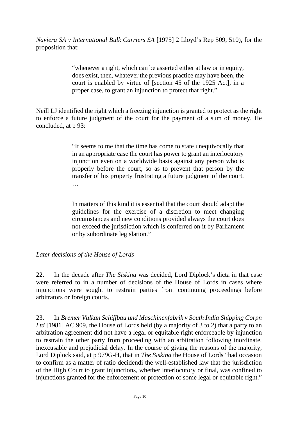*Naviera SA v International Bulk Carriers SA* [1975] 2 Lloyd's Rep 509, 510), for the proposition that:

> "whenever a right, which can be asserted either at law or in equity, does exist, then, whatever the previous practice may have been, the court is enabled by virtue of [section 45 of the 1925 Act], in a proper case, to grant an injunction to protect that right."

Neill LJ identified the right which a freezing injunction is granted to protect as the right to enforce a future judgment of the court for the payment of a sum of money. He concluded, at p 93:

> "It seems to me that the time has come to state unequivocally that in an appropriate case the court has power to grant an interlocutory injunction even on a worldwide basis against any person who is properly before the court, so as to prevent that person by the transfer of his property frustrating a future judgment of the court. …

> In matters of this kind it is essential that the court should adapt the guidelines for the exercise of a discretion to meet changing circumstances and new conditions provided always the court does not exceed the jurisdiction which is conferred on it by Parliament or by subordinate legislation."

#### *Later decisions of the House of Lords*

22. In the decade after *The Siskina* was decided, Lord Diplock's dicta in that case were referred to in a number of decisions of the House of Lords in cases where injunctions were sought to restrain parties from continuing proceedings before arbitrators or foreign courts.

23. In *Bremer Vulkan Schiffbau und Maschinenfabrik v South India Shipping Corpn*  Ltd<sup>[1981]</sup> AC 909, the House of Lords held (by a majority of 3 to 2) that a party to an arbitration agreement did not have a legal or equitable right enforceable by injunction to restrain the other party from proceeding with an arbitration following inordinate, inexcusable and prejudicial delay. In the course of giving the reasons of the majority, Lord Diplock said, at p 979G-H, that in *The Siskina* the House of Lords "had occasion to confirm as a matter of ratio decidendi the well-established law that the jurisdiction of the High Court to grant injunctions, whether interlocutory or final, was confined to injunctions granted for the enforcement or protection of some legal or equitable right."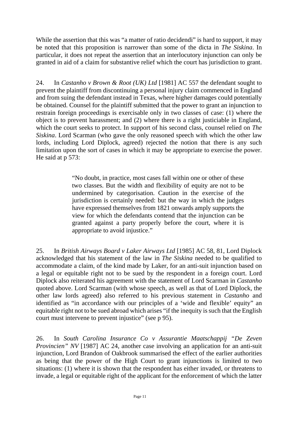While the assertion that this was "a matter of ratio decidendi" is hard to support, it may be noted that this proposition is narrower than some of the dicta in *The Siskina*. In particular, it does not repeat the assertion that an interlocutory injunction can only be granted in aid of a claim for substantive relief which the court has jurisdiction to grant.

24. In *Castanho v Brown & Root (UK) Ltd* [1981] AC 557 the defendant sought to prevent the plaintiff from discontinuing a personal injury claim commenced in England and from suing the defendant instead in Texas, where higher damages could potentially be obtained. Counsel for the plaintiff submitted that the power to grant an injunction to restrain foreign proceedings is exercisable only in two classes of case: (1) where the object is to prevent harassment; and (2) where there is a right justiciable in England, which the court seeks to protect. In support of his second class, counsel relied on *The Siskina*. Lord Scarman (who gave the only reasoned speech with which the other law lords, including Lord Diplock, agreed) rejected the notion that there is any such limitation upon the sort of cases in which it may be appropriate to exercise the power. He said at p 573:

> "No doubt, in practice, most cases fall within one or other of these two classes. But the width and flexibility of equity are not to be undermined by categorisation. Caution in the exercise of the jurisdiction is certainly needed: but the way in which the judges have expressed themselves from 1821 onwards amply supports the view for which the defendants contend that the injunction can be granted against a party properly before the court, where it is appropriate to avoid injustice."

25. In *British Airways Board v Laker Airways Ltd* [1985] AC 58, 81, Lord Diplock acknowledged that his statement of the law in *The Siskina* needed to be qualified to accommodate a claim, of the kind made by Laker, for an anti-suit injunction based on a legal or equitable right not to be sued by the respondent in a foreign court. Lord Diplock also reiterated his agreement with the statement of Lord Scarman in *Castanho* quoted above. Lord Scarman (with whose speech, as well as that of Lord Diplock, the other law lords agreed) also referred to his previous statement in *Castanho* and identified as "in accordance with our principles of a 'wide and flexible' equity" an equitable right not to be sued abroad which arises "if the inequity is such that the English court must intervene to prevent injustice" (see p 95).

26. In *South Carolina Insurance Co v Assurantie Maatschappij "De Zeven Provincien" NV* [1987] AC 24, another case involving an application for an anti-suit injunction, Lord Brandon of Oakbrook summarised the effect of the earlier authorities as being that the power of the High Court to grant injunctions is limited to two situations: (1) where it is shown that the respondent has either invaded, or threatens to invade, a legal or equitable right of the applicant for the enforcement of which the latter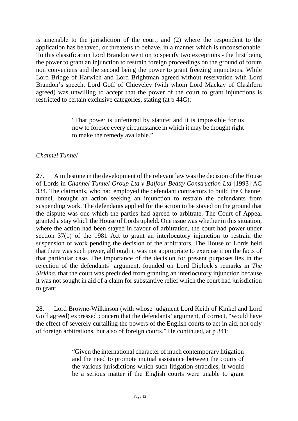is amenable to the jurisdiction of the court; and (2) where the respondent to the application has behaved, or threatens to behave, in a manner which is unconscionable. To this classification Lord Brandon went on to specify two exceptions - the first being the power to grant an injunction to restrain foreign proceedings on the ground of forum non conveniens and the second being the power to grant freezing injunctions. While Lord Bridge of Harwich and Lord Brightman agreed without reservation with Lord Brandon's speech, Lord Goff of Chieveley (with whom Lord Mackay of Clashfern agreed) was unwilling to accept that the power of the court to grant injunctions is restricted to certain exclusive categories, stating (at p 44G):

> "That power is unfettered by statute; and it is impossible for us now to foresee every circumstance in which it may be thought right to make the remedy available."

#### *Channel Tunnel*

27. A milestone in the development of the relevant law was the decision of the House of Lords in *Channel Tunnel Group Ltd v Balfour Beatty Construction Ltd* [1993] AC 334. The claimants, who had employed the defendant contractors to build the Channel tunnel, brought an action seeking an injunction to restrain the defendants from suspending work. The defendants applied for the action to be stayed on the ground that the dispute was one which the parties had agreed to arbitrate. The Court of Appeal granted a stay which the House of Lords upheld. One issue was whether in this situation, where the action had been stayed in favour of arbitration, the court had power under section 37(1) of the 1981 Act to grant an interlocutory injunction to restrain the suspension of work pending the decision of the arbitrators. The House of Lords held that there was such power, although it was not appropriate to exercise it on the facts of that particular case. The importance of the decision for present purposes lies in the rejection of the defendants' argument, founded on Lord Diplock's remarks in *The Siskina*, that the court was precluded from granting an interlocutory injunction because it was not sought in aid of a claim for substantive relief which the court had jurisdiction to grant.

28. Lord Browne-Wilkinson (with whose judgment Lord Keith of Kinkel and Lord Goff agreed) expressed concern that the defendants' argument, if correct, "would have the effect of severely curtailing the powers of the English courts to act in aid, not only of foreign arbitrations, but also of foreign courts." He continued, at p 341:

> "Given the international character of much contemporary litigation and the need to promote mutual assistance between the courts of the various jurisdictions which such litigation straddles, it would be a serious matter if the English courts were unable to grant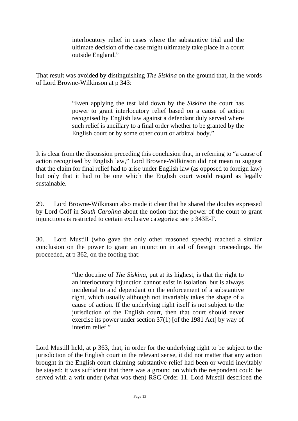interlocutory relief in cases where the substantive trial and the ultimate decision of the case might ultimately take place in a court outside England."

That result was avoided by distinguishing *The Siskina* on the ground that, in the words of Lord Browne-Wilkinson at p 343:

> "Even applying the test laid down by the *Siskina* the court has power to grant interlocutory relief based on a cause of action recognised by English law against a defendant duly served where such relief is ancillary to a final order whether to be granted by the English court or by some other court or arbitral body."

It is clear from the discussion preceding this conclusion that, in referring to "a cause of action recognised by English law," Lord Browne-Wilkinson did not mean to suggest that the claim for final relief had to arise under English law (as opposed to foreign law) but only that it had to be one which the English court would regard as legally sustainable.

29. Lord Browne-Wilkinson also made it clear that he shared the doubts expressed by Lord Goff in *South Carolina* about the notion that the power of the court to grant injunctions is restricted to certain exclusive categories: see p 343E-F.

30. Lord Mustill (who gave the only other reasoned speech) reached a similar conclusion on the power to grant an injunction in aid of foreign proceedings. He proceeded, at p 362, on the footing that:

> "the doctrine of *The Siskina*, put at its highest, is that the right to an interlocutory injunction cannot exist in isolation, but is always incidental to and dependant on the enforcement of a substantive right, which usually although not invariably takes the shape of a cause of action. If the underlying right itself is not subject to the jurisdiction of the English court, then that court should never exercise its power under section 37(1) [of the 1981 Act] by way of interim relief."

Lord Mustill held, at p 363, that, in order for the underlying right to be subject to the jurisdiction of the English court in the relevant sense, it did not matter that any action brought in the English court claiming substantive relief had been or would inevitably be stayed: it was sufficient that there was a ground on which the respondent could be served with a writ under (what was then) RSC Order 11. Lord Mustill described the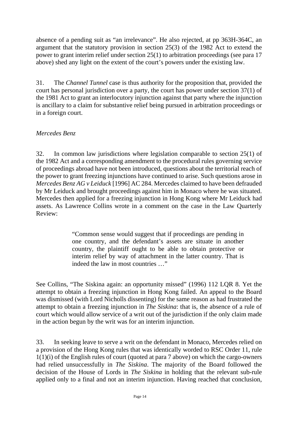absence of a pending suit as "an irrelevance". He also rejected, at pp 363H-364C, an argument that the statutory provision in section 25(3) of the 1982 Act to extend the power to grant interim relief under section 25(1) to arbitration proceedings (see para 17 above) shed any light on the extent of the court's powers under the existing law.

31. The *Channel Tunnel* case is thus authority for the proposition that, provided the court has personal jurisdiction over a party, the court has power under section 37(1) of the 1981 Act to grant an interlocutory injunction against that party where the injunction is ancillary to a claim for substantive relief being pursued in arbitration proceedings or in a foreign court.

### *Mercedes Benz*

32. In common law jurisdictions where legislation comparable to section 25(1) of the 1982 Act and a corresponding amendment to the procedural rules governing service of proceedings abroad have not been introduced, questions about the territorial reach of the power to grant freezing injunctions have continued to arise. Such questions arose in *Mercedes Benz AG v Leiduck* [1996] AC 284. Mercedes claimed to have been defrauded by Mr Leiduck and brought proceedings against him in Monaco where he was situated. Mercedes then applied for a freezing injunction in Hong Kong where Mr Leiduck had assets. As Lawrence Collins wrote in a comment on the case in the Law Quarterly Review:

> "Common sense would suggest that if proceedings are pending in one country, and the defendant's assets are situate in another country, the plaintiff ought to be able to obtain protective or interim relief by way of attachment in the latter country. That is indeed the law in most countries …"

See Collins, "The Siskina again: an opportunity missed" (1996) 112 LQR 8. Yet the attempt to obtain a freezing injunction in Hong Kong failed. An appeal to the Board was dismissed (with Lord Nicholls dissenting) for the same reason as had frustrated the attempt to obtain a freezing injunction in *The Siskina*: that is, the absence of a rule of court which would allow service of a writ out of the jurisdiction if the only claim made in the action begun by the writ was for an interim injunction.

33. In seeking leave to serve a writ on the defendant in Monaco, Mercedes relied on a provision of the Hong Kong rules that was identically worded to RSC Order 11, rule 1(1)(i) of the English rules of court (quoted at para 7 above) on which the cargo-owners had relied unsuccessfully in *The Siskina*. The majority of the Board followed the decision of the House of Lords in *The Siskina* in holding that the relevant sub-rule applied only to a final and not an interim injunction. Having reached that conclusion,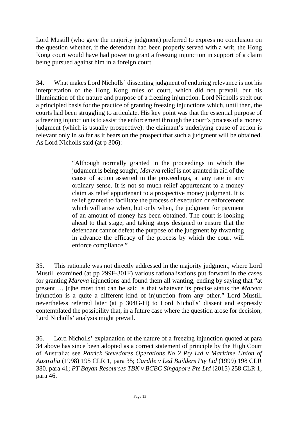Lord Mustill (who gave the majority judgment) preferred to express no conclusion on the question whether, if the defendant had been properly served with a writ, the Hong Kong court would have had power to grant a freezing injunction in support of a claim being pursued against him in a foreign court.

34. What makes Lord Nicholls' dissenting judgment of enduring relevance is not his interpretation of the Hong Kong rules of court, which did not prevail, but his illumination of the nature and purpose of a freezing injunction. Lord Nicholls spelt out a principled basis for the practice of granting freezing injunctions which, until then, the courts had been struggling to articulate. His key point was that the essential purpose of a freezing injunction is to assist the enforcement through the court's process of a money judgment (which is usually prospective): the claimant's underlying cause of action is relevant only in so far as it bears on the prospect that such a judgment will be obtained. As Lord Nicholls said (at p 306):

> "Although normally granted in the proceedings in which the judgment is being sought, *Mareva* relief is not granted in aid of the cause of action asserted in the proceedings, at any rate in any ordinary sense. It is not so much relief appurtenant to a money claim as relief appurtenant to a prospective money judgment. It is relief granted to facilitate the process of execution or enforcement which will arise when, but only when, the judgment for payment of an amount of money has been obtained. The court is looking ahead to that stage, and taking steps designed to ensure that the defendant cannot defeat the purpose of the judgment by thwarting in advance the efficacy of the process by which the court will enforce compliance."

35. This rationale was not directly addressed in the majority judgment, where Lord Mustill examined (at pp 299F-301F) various rationalisations put forward in the cases for granting *Mareva* injunctions and found them all wanting, ending by saying that "at present … [t]he most that can be said is that whatever its precise status the *Mareva* injunction is a quite a different kind of injunction from any other." Lord Mustill nevertheless referred later (at p 304G-H) to Lord Nicholls' dissent and expressly contemplated the possibility that, in a future case where the question arose for decision, Lord Nicholls' analysis might prevail.

36. Lord Nicholls' explanation of the nature of a freezing injunction quoted at para 34 above has since been adopted as a correct statement of principle by the High Court of Australia: see *Patrick Stevedores Operations No 2 Pty Ltd v Maritime Union of Australia* (1998) 195 CLR 1, para 35; *Cardile v Led Builders Pty Ltd* (1999) 198 CLR 380, para 41; *PT Bayan Resources TBK v BCBC Singapore Pte Ltd* (2015) 258 CLR 1, para 46.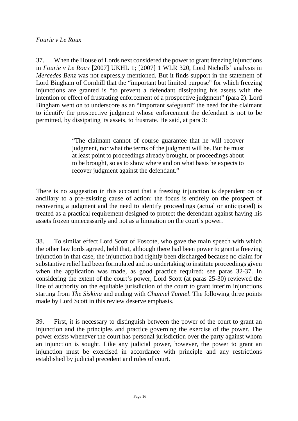#### *Fourie v Le Roux*

37. When the House of Lords next considered the power to grant freezing injunctions in *Fourie v Le Roux* [2007] UKHL 1; [2007] 1 WLR 320, Lord Nicholls' analysis in *Mercedes Benz* was not expressly mentioned. But it finds support in the statement of Lord Bingham of Cornhill that the "important but limited purpose" for which freezing injunctions are granted is "to prevent a defendant dissipating his assets with the intention or effect of frustrating enforcement of a prospective judgment" (para 2). Lord Bingham went on to underscore as an "important safeguard" the need for the claimant to identify the prospective judgment whose enforcement the defendant is not to be permitted, by dissipating its assets, to frustrate. He said, at para 3:

> "The claimant cannot of course guarantee that he will recover judgment, nor what the terms of the judgment will be. But he must at least point to proceedings already brought, or proceedings about to be brought, so as to show where and on what basis he expects to recover judgment against the defendant."

There is no suggestion in this account that a freezing injunction is dependent on or ancillary to a pre-existing cause of action: the focus is entirely on the prospect of recovering a judgment and the need to identify proceedings (actual or anticipated) is treated as a practical requirement designed to protect the defendant against having his assets frozen unnecessarily and not as a limitation on the court's power.

38. To similar effect Lord Scott of Foscote, who gave the main speech with which the other law lords agreed, held that, although there had been power to grant a freezing injunction in that case, the injunction had rightly been discharged because no claim for substantive relief had been formulated and no undertaking to institute proceedings given when the application was made, as good practice required: see paras 32-37. In considering the extent of the court's power, Lord Scott (at paras 25-30) reviewed the line of authority on the equitable jurisdiction of the court to grant interim injunctions starting from *The Siskina* and ending with *Channel Tunnel*. The following three points made by Lord Scott in this review deserve emphasis.

39. First, it is necessary to distinguish between the power of the court to grant an injunction and the principles and practice governing the exercise of the power. The power exists whenever the court has personal jurisdiction over the party against whom an injunction is sought. Like any judicial power, however, the power to grant an injunction must be exercised in accordance with principle and any restrictions established by judicial precedent and rules of court.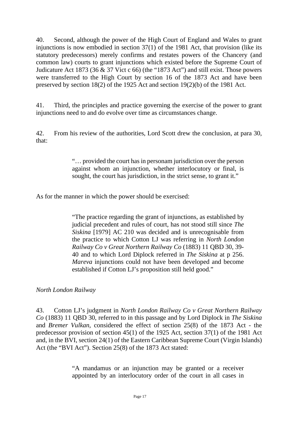40. Second, although the power of the High Court of England and Wales to grant injunctions is now embodied in section 37(1) of the 1981 Act, that provision (like its statutory predecessors) merely confirms and restates powers of the Chancery (and common law) courts to grant injunctions which existed before the Supreme Court of Judicature Act 1873 (36  $\&$  37 Vict c 66) (the "1873 Act") and still exist. Those powers were transferred to the High Court by section 16 of the 1873 Act and have been preserved by section 18(2) of the 1925 Act and section 19(2)(b) of the 1981 Act.

41. Third, the principles and practice governing the exercise of the power to grant injunctions need to and do evolve over time as circumstances change.

42. From his review of the authorities, Lord Scott drew the conclusion, at para 30, that:

> "… provided the court has in personam jurisdiction over the person against whom an injunction, whether interlocutory or final, is sought, the court has jurisdiction, in the strict sense, to grant it."

As for the manner in which the power should be exercised:

"The practice regarding the grant of injunctions, as established by judicial precedent and rules of court, has not stood still since *The Siskina* [1979] AC 210 was decided and is unrecognisable from the practice to which Cotton LJ was referring in *North London Railway Co v Great Northern Railway Co* (1883) 11 QBD 30, 39- 40 and to which Lord Diplock referred in *The Siskina* at p 256. *Mareva* injunctions could not have been developed and become established if Cotton LJ's proposition still held good."

*North London Railway*

43. Cotton LJ's judgment in *North London Railway Co v Great Northern Railway Co* (1883) 11 QBD 30, referred to in this passage and by Lord Diplock in *The Siskina* and *Bremer Vulkan*, considered the effect of section 25(8) of the 1873 Act - the predecessor provision of section 45(1) of the 1925 Act, section 37(1) of the 1981 Act and, in the BVI, section 24(1) of the Eastern Caribbean Supreme Court (Virgin Islands) Act (the "BVI Act"). Section 25(8) of the 1873 Act stated:

> "A mandamus or an injunction may be granted or a receiver appointed by an interlocutory order of the court in all cases in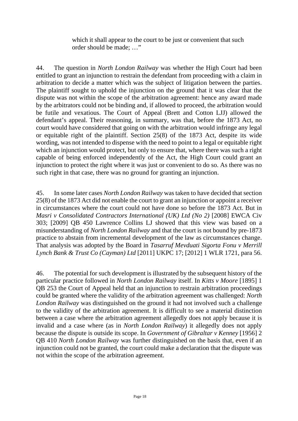which it shall appear to the court to be just or convenient that such order should be made; …"

44. The question in *North London Railway* was whether the High Court had been entitled to grant an injunction to restrain the defendant from proceeding with a claim in arbitration to decide a matter which was the subject of litigation between the parties. The plaintiff sought to uphold the injunction on the ground that it was clear that the dispute was not within the scope of the arbitration agreement: hence any award made by the arbitrators could not be binding and, if allowed to proceed, the arbitration would be futile and vexatious. The Court of Appeal (Brett and Cotton LJJ) allowed the defendant's appeal. Their reasoning, in summary, was that, before the 1873 Act, no court would have considered that going on with the arbitration would infringe any legal or equitable right of the plaintiff. Section 25(8) of the 1873 Act, despite its wide wording, was not intended to dispense with the need to point to a legal or equitable right which an injunction would protect, but only to ensure that, where there was such a right capable of being enforced independently of the Act, the High Court could grant an injunction to protect the right where it was just or convenient to do so. As there was no such right in that case, there was no ground for granting an injunction.

45. In some later cases *North London Railway* was taken to have decided that section 25(8) of the 1873 Act did not enable the court to grant an injunction or appoint a receiver in circumstances where the court could not have done so before the 1873 Act. But in *Masri v Consolidated Contractors International (UK) Ltd (No 2)* [2008] EWCA Civ 303; [2009] QB 450 Lawrence Collins LJ showed that this view was based on a misunderstanding of *North London Railway* and that the court is not bound by pre-1873 practice to abstain from incremental development of the law as circumstances change. That analysis was adopted by the Board in *Tasarruf Mevduati Sigorta Fonu v Merrill Lynch Bank & Trust Co (Cayman) Ltd* [2011] UKPC 17; [2012] 1 WLR 1721, para 56.

46. The potential for such development is illustrated by the subsequent history of the particular practice followed in *North London Railway* itself. In *Kitts v Moore* [1895] 1 QB 253 the Court of Appeal held that an injunction to restrain arbitration proceedings could be granted where the validity of the arbitration agreement was challenged: *North London Railway* was distinguished on the ground it had not involved such a challenge to the validity of the arbitration agreement. It is difficult to see a material distinction between a case where the arbitration agreement allegedly does not apply because it is invalid and a case where (as in *North London Railway*) it allegedly does not apply because the dispute is outside its scope. In *Government of Gibraltar v Kenney* [1956] 2 QB 410 *North London Railway* was further distinguished on the basis that, even if an injunction could not be granted, the court could make a declaration that the dispute was not within the scope of the arbitration agreement.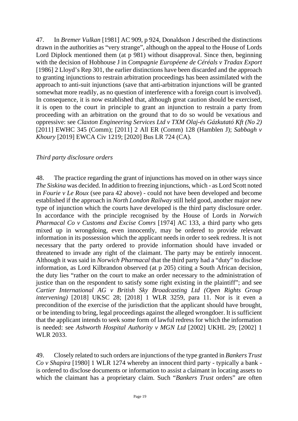47. In *Bremer Vulkan* [1981] AC 909, p 924, Donaldson J described the distinctions drawn in the authorities as "very strange", although on the appeal to the House of Lords Lord Diplock mentioned them (at p 981) without disapproval. Since then, beginning with the decision of Hobhouse J in *Compagnie Européene de Céréals v Tradax Export* [1986] 2 Lloyd's Rep 301, the earlier distinctions have been discarded and the approach to granting injunctions to restrain arbitration proceedings has been assimilated with the approach to anti-suit injunctions (save that anti-arbitration injunctions will be granted somewhat more readily, as no question of interference with a foreign court is involved). In consequence, it is now established that, although great caution should be exercised, it is open to the court in principle to grant an injunction to restrain a party from proceeding with an arbitration on the ground that to do so would be vexatious and oppressive: see *Claxton Engineering Services Ltd v TXM Olaj-és Gázkutató Kft (No 2)* [2011] EWHC 345 (Comm); [2011] 2 All ER (Comm) 128 (Hamblen J); *Sabbagh v Khoury* [2019] EWCA Civ 1219; [2020] Bus LR 724 (CA).

### *Third party disclosure orders*

48. The practice regarding the grant of injunctions has moved on in other ways since *The Siskina* was decided. In addition to freezing injunctions, which - as Lord Scott noted in *Fourie v Le Roux* (see para 42 above) - could not have been developed and become established if the approach in *North London Railway* still held good, another major new type of injunction which the courts have developed is the third party disclosure order. In accordance with the principle recognised by the House of Lords in *Norwich Pharmacal Co v Customs and Excise Comrs* [1974] AC 133, a third party who gets mixed up in wrongdoing, even innocently, may be ordered to provide relevant information in its possession which the applicant needs in order to seek redress. It is not necessary that the party ordered to provide information should have invaded or threatened to invade any right of the claimant. The party may be entirely innocent. Although it was said in *Norwich Pharmacal* that the third party had a "duty" to disclose information, as Lord Kilbrandon observed (at p 205) citing a South African decision, the duty lies "rather on the court to make an order necessary to the administration of justice than on the respondent to satisfy some right existing in the plaintiff"; and see *Cartier International AG v British Sky Broadcasting Ltd (Open Rights Group intervening)* [2018] UKSC 28; [2018] 1 WLR 3259, para 11. Nor is it even a precondition of the exercise of the jurisdiction that the applicant should have brought, or be intending to bring, legal proceedings against the alleged wrongdoer. It is sufficient that the applicant intends to seek some form of lawful redress for which the information is needed: see *Ashworth Hospital Authority v MGN Ltd* [2002] UKHL 29; [2002] 1 WLR 2033.

49. Closely related to such orders are injunctions of the type granted in *Bankers Trust Co v Shapira* [1980] 1 WLR 1274 whereby an innocent third party - typically a bank is ordered to disclose documents or information to assist a claimant in locating assets to which the claimant has a proprietary claim. Such "*Bankers Trust* orders" are often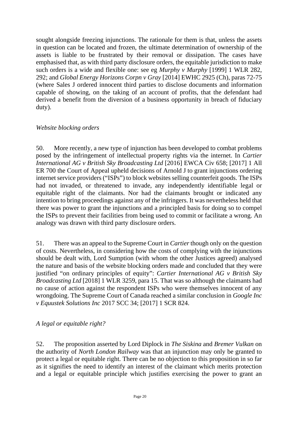sought alongside freezing injunctions. The rationale for them is that, unless the assets in question can be located and frozen, the ultimate determination of ownership of the assets is liable to be frustrated by their removal or dissipation. The cases have emphasised that, as with third party disclosure orders, the equitable jurisdiction to make such orders is a wide and flexible one: see eg *Murphy v Murphy* [1999] 1 WLR 282, 292; and *Global Energy Horizons Corpn v Gray* [2014] EWHC 2925 (Ch), paras 72-75 (where Sales J ordered innocent third parties to disclose documents and information capable of showing, on the taking of an account of profits, that the defendant had derived a benefit from the diversion of a business opportunity in breach of fiduciary duty).

#### *Website blocking orders*

50. More recently, a new type of injunction has been developed to combat problems posed by the infringement of intellectual property rights via the internet. In *[Cartier](http://uk.westlaw.com/Document/I723DFC60436D11E6B1D69B02A2400EFD/View/FullText.html?originationContext=document&transitionType=DocumentItem&vr=3.0&rs=PLUK1.0&contextData=(sc.Default))  [International AG v British Sky Broadcasting Ltd](http://uk.westlaw.com/Document/I723DFC60436D11E6B1D69B02A2400EFD/View/FullText.html?originationContext=document&transitionType=DocumentItem&vr=3.0&rs=PLUK1.0&contextData=(sc.Default))* [2016] EWCA Civ 658; [2017] 1 All [ER 700](http://uk.westlaw.com/Document/I723DFC60436D11E6B1D69B02A2400EFD/View/FullText.html?originationContext=document&transitionType=DocumentItem&vr=3.0&rs=PLUK1.0&contextData=(sc.Default)) the Court of Appeal upheld decisions of Arnold J to grant injunctions ordering internet service providers ("ISPs") to block websites selling counterfeit goods. The ISPs had not invaded, or threatened to invade, any independently identifiable legal or equitable right of the claimants. Nor had the claimants brought or indicated any intention to bring proceedings against any of the infringers. It was nevertheless held that there was power to grant the injunctions and a principled basis for doing so to compel the ISPs to prevent their facilities from being used to commit or facilitate a wrong. An analogy was drawn with third party disclosure orders.

51. There was an appeal to the Supreme Court in *Cartier* though only on the question of costs. Nevertheless, in considering how the costs of complying with the injunctions should be dealt with, Lord Sumption (with whom the other Justices agreed) analysed the nature and basis of the website blocking orders made and concluded that they were justified "on ordinary principles of equity": *Cartier International AG v British Sky Broadcasting Ltd* [2018] 1 WLR 3259, para 15. That was so although the claimants had no cause of action against the respondent ISPs who were themselves innocent of any wrongdoing. The Supreme Court of Canada reached a similar conclusion in *Google Inc v Equustek Solutions Inc* 2017 SCC 34; [2017] 1 SCR 824.

### *A legal or equitable right?*

52. The proposition asserted by Lord Diplock in *The Siskina* and *Bremer Vulkan* on the authority of *North London Railway* was that an injunction may only be granted to protect a legal or equitable right. There can be no objection to this proposition in so far as it signifies the need to identify an interest of the claimant which merits protection and a legal or equitable principle which justifies exercising the power to grant an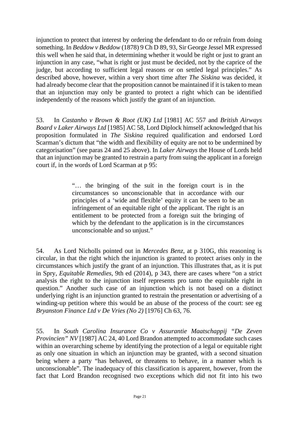injunction to protect that interest by ordering the defendant to do or refrain from doing something. In *Beddow v Beddow* (1878) 9 Ch D 89, 93, Sir George Jessel MR expressed this well when he said that, in determining whether it would be right or just to grant an injunction in any case, "what is right or just must be decided, not by the caprice of the judge, but according to sufficient legal reasons or on settled legal principles." As described above, however, within a very short time after *The Siskina* was decided, it had already become clear that the proposition cannot be maintained if it is taken to mean that an injunction may only be granted to protect a right which can be identified independently of the reasons which justify the grant of an injunction.

53. In *Castanho v Brown & Root (UK) Ltd* [1981] AC 557 and *British Airways Board v Laker Airways Ltd* [1985] AC 58, Lord Diplock himself acknowledged that his proposition formulated in *The Siskina* required qualification and endorsed Lord Scarman's dictum that "the width and flexibility of equity are not to be undermined by categorisation" (see paras 24 and 25 above). In *Laker Airways* the House of Lords held that an injunction may be granted to restrain a party from suing the applicant in a foreign court if, in the words of Lord Scarman at p 95:

> "… the bringing of the suit in the foreign court is in the circumstances so unconscionable that in accordance with our principles of a 'wide and flexible' equity it can be seen to be an infringement of an equitable right of the applicant. The right is an entitlement to be protected from a foreign suit the bringing of which by the defendant to the application is in the circumstances unconscionable and so unjust."

54. As Lord Nicholls pointed out in *Mercedes Benz*, at p 310G, this reasoning is circular, in that the right which the injunction is granted to protect arises only in the circumstances which justify the grant of an injunction. This illustrates that, as it is put in Spry, *Equitable Remedies*, 9th ed (2014), p 343, there are cases where "on a strict analysis the right to the injunction itself represents pro tanto the equitable right in question." Another such case of an injunction which is not based on a distinct underlying right is an injunction granted to restrain the presentation or advertising of a winding-up petition where this would be an abuse of the process of the court: see eg *Bryanston Finance Ltd v De Vries (No 2)* [1976] Ch 63, 76.

55. In *South Carolina Insurance Co v Assurantie Maatschappij "De Zeven Provincien" NV* [1987] AC 24, 40 Lord Brandon attempted to accommodate such cases within an overarching scheme by identifying the protection of a legal or equitable right as only one situation in which an injunction may be granted, with a second situation being where a party "has behaved, or threatens to behave, in a manner which is unconscionable". The inadequacy of this classification is apparent, however, from the fact that Lord Brandon recognised two exceptions which did not fit into his two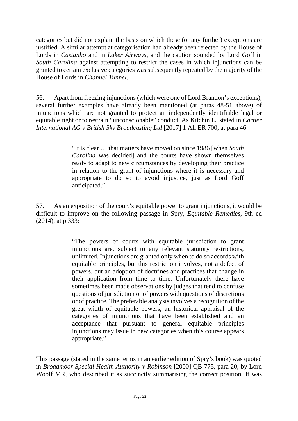categories but did not explain the basis on which these (or any further) exceptions are justified. A similar attempt at categorisation had already been rejected by the House of Lords in *Castanho* and in *Laker Airways*, and the caution sounded by Lord Goff in *South Carolina* against attempting to restrict the cases in which injunctions can be granted to certain exclusive categories was subsequently repeated by the majority of the House of Lords in *Channel Tunnel*.

56. Apart from freezing injunctions (which were one of Lord Brandon's exceptions), several further examples have already been mentioned (at paras 48-51 above) of injunctions which are not granted to protect an independently identifiable legal or equitable right or to restrain "unconscionable" conduct. As Kitchin LJ stated in *[Cartier](http://uk.westlaw.com/Document/I723DFC60436D11E6B1D69B02A2400EFD/View/FullText.html?originationContext=document&transitionType=DocumentItem&vr=3.0&rs=PLUK1.0&contextData=(sc.Default))  [International AG v British Sky Broadcasting Ltd](http://uk.westlaw.com/Document/I723DFC60436D11E6B1D69B02A2400EFD/View/FullText.html?originationContext=document&transitionType=DocumentItem&vr=3.0&rs=PLUK1.0&contextData=(sc.Default))* [2017] 1 All ER 700, at para 46:

> "It is clear … that matters have moved on since 1986 [when *South Carolina* was decided] and the courts have shown themselves ready to adapt to new circumstances by developing their practice in relation to the grant of injunctions where it is necessary and appropriate to do so to avoid injustice, just as Lord Goff anticipated."

57. As an exposition of the court's equitable power to grant injunctions, it would be difficult to improve on the following passage in Spry, *Equitable Remedies*, 9th ed (2014), at p 333:

> "The powers of courts with equitable jurisdiction to grant injunctions are, subject to any relevant statutory restrictions, unlimited. Injunctions are granted only when to do so accords with equitable principles, but this restriction involves, not a defect of powers, but an adoption of doctrines and practices that change in their application from time to time. Unfortunately there have sometimes been made observations by judges that tend to confuse questions of jurisdiction or of powers with questions of discretions or of practice. The preferable analysis involves a recognition of the great width of equitable powers, an historical appraisal of the categories of injunctions that have been established and an acceptance that pursuant to general equitable principles injunctions may issue in new categories when this course appears appropriate."

This passage (stated in the same terms in an earlier edition of Spry's book) was quoted in *Broadmoor Special Health Authority v Robinson* [2000] QB 775, para 20, by Lord Woolf MR, who described it as succinctly summarising the correct position. It was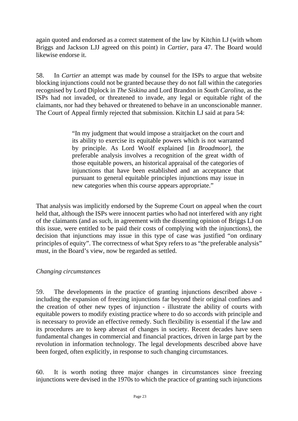again quoted and endorsed as a correct statement of the law by Kitchin LJ (with whom Briggs and Jackson LJJ agreed on this point) in *[Cartier](http://uk.westlaw.com/Document/I723DFC60436D11E6B1D69B02A2400EFD/View/FullText.html?originationContext=document&transitionType=DocumentItem&vr=3.0&rs=PLUK1.0&contextData=(sc.Default))*, para 47. The Board would likewise endorse it.

58. In *Cartier* an attempt was made by counsel for the ISPs to argue that website blocking injunctions could not be granted because they do not fall within the categories recognised by Lord Diplock in *The Siskina* and Lord Brandon in *South Carolina*, as the ISPs had not invaded, or threatened to invade, any legal or equitable right of the claimants, nor had they behaved or threatened to behave in an unconscionable manner. The Court of Appeal firmly rejected that submission. Kitchin LJ said at para 54:

> "In my judgment that would impose a straitjacket on the court and its ability to exercise its equitable powers which is not warranted by principle. As Lord Woolf explained [in *Broadmoor*], the preferable analysis involves a recognition of the great width of those equitable powers, an historical appraisal of the categories of injunctions that have been established and an acceptance that pursuant to general equitable principles injunctions may issue in new categories when this course appears appropriate."

That analysis was implicitly endorsed by the Supreme Court on appeal when the court held that, although the ISPs were innocent parties who had not interfered with any right of the claimants (and as such, in agreement with the dissenting opinion of Briggs LJ on this issue, were entitled to be paid their costs of complying with the injunctions), the decision that injunctions may issue in this type of case was justified "on ordinary principles of equity". The correctness of what Spry refers to as "the preferable analysis" must, in the Board's view, now be regarded as settled.

### *Changing circumstances*

59. The developments in the practice of granting injunctions described above including the expansion of freezing injunctions far beyond their original confines and the creation of other new types of injunction - illustrate the ability of courts with equitable powers to modify existing practice where to do so accords with principle and is necessary to provide an effective remedy. Such flexibility is essential if the law and its procedures are to keep abreast of changes in society. Recent decades have seen fundamental changes in commercial and financial practices, driven in large part by the revolution in information technology. The legal developments described above have been forged, often explicitly, in response to such changing circumstances.

60. It is worth noting three major changes in circumstances since freezing injunctions were devised in the 1970s to which the practice of granting such injunctions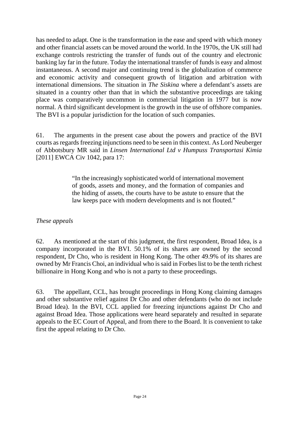has needed to adapt. One is the transformation in the ease and speed with which money and other financial assets can be moved around the world. In the 1970s, the UK still had exchange controls restricting the transfer of funds out of the country and electronic banking lay far in the future. Today the international transfer of funds is easy and almost instantaneous. A second major and continuing trend is the globalization of commerce and economic activity and consequent growth of litigation and arbitration with international dimensions. The situation in *The Siskina* where a defendant's assets are situated in a country other than that in which the substantive proceedings are taking place was comparatively uncommon in commercial litigation in 1977 but is now normal. A third significant development is the growth in the use of offshore companies. The BVI is a popular jurisdiction for the location of such companies.

61. The arguments in the present case about the powers and practice of the BVI courts as regards freezing injunctions need to be seen in this context. As Lord Neuberger of Abbotsbury MR said in *Linsen International Ltd v Humpuss Transportasi Kimia* [2011] EWCA Civ 1042, para 17:

> "In the increasingly sophisticated world of international movement of goods, assets and money, and the formation of companies and the hiding of assets, the courts have to be astute to ensure that the law keeps pace with modern developments and is not flouted."

### *These appeals*

62. As mentioned at the start of this judgment, the first respondent, Broad Idea, is a company incorporated in the BVI. 50.1% of its shares are owned by the second respondent, Dr Cho, who is resident in Hong Kong. The other 49.9% of its shares are owned by Mr Francis Choi, an individual who is said in Forbes list to be the tenth richest billionaire in Hong Kong and who is not a party to these proceedings.

63. The appellant, CCL, has brought proceedings in Hong Kong claiming damages and other substantive relief against Dr Cho and other defendants (who do not include Broad Idea). In the BVI, CCL applied for freezing injunctions against Dr Cho and against Broad Idea. Those applications were heard separately and resulted in separate appeals to the EC Court of Appeal, and from there to the Board. It is convenient to take first the appeal relating to Dr Cho.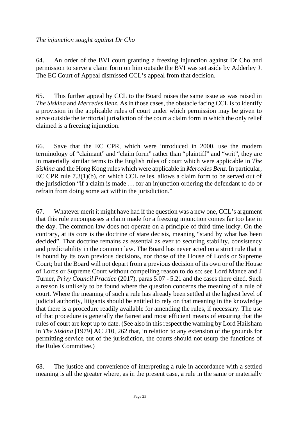64. An order of the BVI court granting a freezing injunction against Dr Cho and permission to serve a claim form on him outside the BVI was set aside by Adderley J. The EC Court of Appeal dismissed CCL's appeal from that decision.

65. This further appeal by CCL to the Board raises the same issue as was raised in *The Siskina* and *Mercedes Benz*. As in those cases, the obstacle facing CCL is to identify a provision in the applicable rules of court under which permission may be given to serve outside the territorial jurisdiction of the court a claim form in which the only relief claimed is a freezing injunction.

66. Save that the EC CPR, which were introduced in 2000, use the modern terminology of "claimant" and "claim form" rather than "plaintiff" and "writ", they are in materially similar terms to the English rules of court which were applicable in *The Siskina* and the Hong Kong rules which were applicable in *Mercedes Benz*. In particular, EC CPR rule 7.3(1)(b), on which CCL relies, allows a claim form to be served out of the jurisdiction "if a claim is made … for an injunction ordering the defendant to do or refrain from doing some act within the jurisdiction."

67. Whatever merit it might have had if the question was a new one, CCL's argument that this rule encompasses a claim made for a freezing injunction comes far too late in the day. The common law does not operate on a principle of third time lucky. On the contrary, at its core is the doctrine of stare decisis, meaning "stand by what has been decided". That doctrine remains as essential as ever to securing stability, consistency and predictability in the common law. The Board has never acted on a strict rule that it is bound by its own previous decisions, nor those of the House of Lords or Supreme Court; but the Board will not depart from a previous decision of its own or of the House of Lords or Supreme Court without compelling reason to do so: see Lord Mance and J Turner, *Privy Council Practice* (2017), paras 5.07 - 5.21 and the cases there cited. Such a reason is unlikely to be found where the question concerns the meaning of a rule of court. Where the meaning of such a rule has already been settled at the highest level of judicial authority, litigants should be entitled to rely on that meaning in the knowledge that there is a procedure readily available for amending the rules, if necessary. The use of that procedure is generally the fairest and most efficient means of ensuring that the rules of court are kept up to date. (See also in this respect the warning by Lord Hailsham in *The Siskina* [1979] AC 210, 262 that, in relation to any extension of the grounds for permitting service out of the jurisdiction, the courts should not usurp the functions of the Rules Committee.)

68. The justice and convenience of interpreting a rule in accordance with a settled meaning is all the greater where, as in the present case, a rule in the same or materially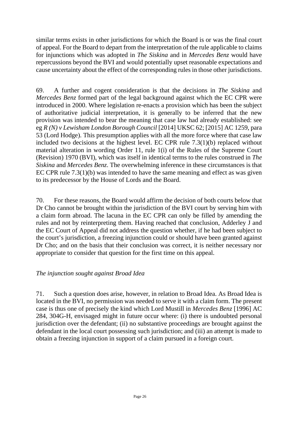similar terms exists in other jurisdictions for which the Board is or was the final court of appeal. For the Board to depart from the interpretation of the rule applicable to claims for injunctions which was adopted in *The Siskina* and in *Mercedes Benz* would have repercussions beyond the BVI and would potentially upset reasonable expectations and cause uncertainty about the effect of the corresponding rules in those other jurisdictions.

69. A further and cogent consideration is that the decisions in *The Siskina* and *Mercedes Benz* formed part of the legal background against which the EC CPR were introduced in 2000. Where legislation re-enacts a provision which has been the subject of authoritative judicial interpretation, it is generally to be inferred that the new provision was intended to bear the meaning that case law had already established: see eg *R (N) v Lewisham London Borough Council* [2014] UKSC 62; [2015] AC 1259, para 53 (Lord Hodge). This presumption applies with all the more force where that case law included two decisions at the highest level. EC CPR rule 7.3(1)(b) replaced without material alteration in wording Order 11, rule 1(i) of the Rules of the Supreme Court (Revision) 1970 (BVI), which was itself in identical terms to the rules construed in *The Siskina* and *Mercedes Benz*. The overwhelming inference in these circumstances is that EC CPR rule 7.3(1)(b) was intended to have the same meaning and effect as was given to its predecessor by the House of Lords and the Board.

70. For these reasons, the Board would affirm the decision of both courts below that Dr Cho cannot be brought within the jurisdiction of the BVI court by serving him with a claim form abroad. The lacuna in the EC CPR can only be filled by amending the rules and not by reinterpreting them. Having reached that conclusion, Adderley J and the EC Court of Appeal did not address the question whether, if he had been subject to the court's jurisdiction, a freezing injunction could or should have been granted against Dr Cho; and on the basis that their conclusion was correct, it is neither necessary nor appropriate to consider that question for the first time on this appeal.

### *The injunction sought against Broad Idea*

71. Such a question does arise, however, in relation to Broad Idea. As Broad Idea is located in the BVI, no permission was needed to serve it with a claim form. The present case is thus one of precisely the kind which Lord Mustill in *Mercedes Benz* [1996] AC 284, 304G-H, envisaged might in future occur where: (i) there is undoubted personal jurisdiction over the defendant; (ii) no substantive proceedings are brought against the defendant in the local court possessing such jurisdiction; and (iii) an attempt is made to obtain a freezing injunction in support of a claim pursued in a foreign court.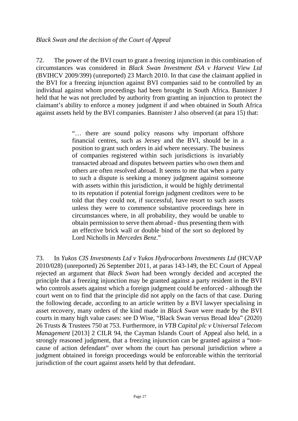72. The power of the BVI court to grant a freezing injunction in this combination of circumstances was considered in *Black Swan Investment ISA v Harvest View Ltd* (BVIHCV 2009/399) (unreported) 23 March 2010. In that case the claimant applied in the BVI for a freezing injunction against BVI companies said to be controlled by an individual against whom proceedings had been brought in South Africa. Bannister J held that he was not precluded by authority from granting an injunction to protect the claimant's ability to enforce a money judgment if and when obtained in South Africa against assets held by the BVI companies. Bannister J also observed (at para 15) that:

> "… there are sound policy reasons why important offshore financial centres, such as Jersey and the BVI, should be in a position to grant such orders in aid where necessary. The business of companies registered within such jurisdictions is invariably transacted abroad and disputes between parties who own them and others are often resolved abroad. It seems to me that when a party to such a dispute is seeking a money judgment against someone with assets within this jurisdiction, it would be highly detrimental to its reputation if potential foreign judgment creditors were to be told that they could not, if successful, have resort to such assets unless they were to commence substantive proceedings here in circumstances where, in all probability, they would be unable to obtain permission to serve them abroad - thus presenting them with an effective brick wall or double bind of the sort so deplored by Lord Nicholls in *Mercedes Benz*."

73. In *Yukos CIS Investments Ltd v Yukos Hydrocarbons Investments Ltd* (HCVAP 2010/028) (unreported) 26 September 2011, at paras 143-149, the EC Court of Appeal rejected an argument that *Black Swan* had been wrongly decided and accepted the principle that a freezing injunction may be granted against a party resident in the BVI who controls assets against which a foreign judgment could be enforced - although the court went on to find that the principle did not apply on the facts of that case. During the following decade, according to an article written by a BVI lawyer specialising in asset recovery, many orders of the kind made in *Black Swan* were made by the BVI courts in many high value cases: see D Wise, "Black Swan versus Broad Idea" (2020) 26 Trusts & Trustees 750 at 753. Furthermore, in *VTB Capital plc v Universal Telecom Management* [2013] 2 CILR 94, the Cayman Islands Court of Appeal also held, in a strongly reasoned judgment, that a freezing injunction can be granted against a "noncause of action defendant" over whom the court has personal jurisdiction where a judgment obtained in foreign proceedings would be enforceable within the territorial jurisdiction of the court against assets held by that defendant.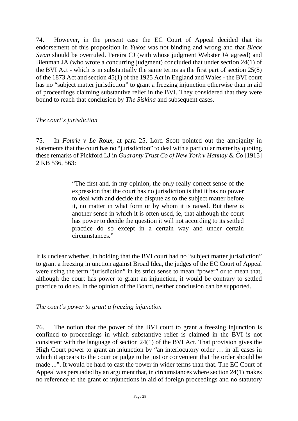74. However, in the present case the EC Court of Appeal decided that its endorsement of this proposition in *Yukos* was not binding and wrong and that *Black Swan* should be overruled. Pereira CJ (with whose judgment Webster JA agreed) and Blenman JA (who wrote a concurring judgment) concluded that under section 24(1) of the BVI Act - which is in substantially the same terms as the first part of section 25(8) of the 1873 Act and section 45(1) of the 1925 Act in England and Wales - the BVI court has no "subject matter jurisdiction" to grant a freezing injunction otherwise than in aid of proceedings claiming substantive relief in the BVI. They considered that they were bound to reach that conclusion by *The Siskina* and subsequent cases.

#### *The court's jurisdiction*

75. In *Fourie v Le Roux*, at para 25, Lord Scott pointed out the ambiguity in statements that the court has no "jurisdiction" to deal with a particular matter by quoting these remarks of Pickford LJ in *Guaranty Trust Co of New York v Hannay & Co* [1915] 2 KB 536, 563:

> "The first and, in my opinion, the only really correct sense of the expression that the court has no jurisdiction is that it has no power to deal with and decide the dispute as to the subject matter before it, no matter in what form or by whom it is raised. But there is another sense in which it is often used, ie, that although the court has power to decide the question it will not according to its settled practice do so except in a certain way and under certain circumstances."

It is unclear whether, in holding that the BVI court had no "subject matter jurisdiction" to grant a freezing injunction against Broad Idea, the judges of the EC Court of Appeal were using the term "jurisdiction" in its strict sense to mean "power" or to mean that, although the court has power to grant an injunction, it would be contrary to settled practice to do so. In the opinion of the Board, neither conclusion can be supported.

### *The court's power to grant a freezing injunction*

76. The notion that the power of the BVI court to grant a freezing injunction is confined to proceedings in which substantive relief is claimed in the BVI is not consistent with the language of section 24(1) of the BVI Act. That provision gives the High Court power to grant an injunction by "an interlocutory order … in all cases in which it appears to the court or judge to be just or convenient that the order should be made ...". It would be hard to cast the power in wider terms than that. The EC Court of Appeal was persuaded by an argument that, in circumstances where section 24(1) makes no reference to the grant of injunctions in aid of foreign proceedings and no statutory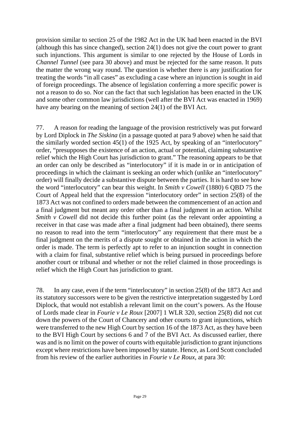provision similar to section 25 of the 1982 Act in the UK had been enacted in the BVI (although this has since changed), section 24(1) does not give the court power to grant such injunctions. This argument is similar to one rejected by the House of Lords in *Channel Tunnel* (see para 30 above) and must be rejected for the same reason. It puts the matter the wrong way round. The question is whether there is any justification for treating the words "in all cases" as excluding a case where an injunction is sought in aid of foreign proceedings. The absence of legislation conferring a more specific power is not a reason to do so. Nor can the fact that such legislation has been enacted in the UK and some other common law jurisdictions (well after the BVI Act was enacted in 1969) have any bearing on the meaning of section 24(1) of the BVI Act.

77. A reason for reading the language of the provision restrictively was put forward by Lord Diplock in *The Siskina* (in a passage quoted at para 9 above) when he said that the similarly worded section 45(1) of the 1925 Act, by speaking of an "interlocutory" order, "presupposes the existence of an action, actual or potential, claiming substantive relief which the High Court has jurisdiction to grant." The reasoning appears to be that an order can only be described as "interlocutory" if it is made in or in anticipation of proceedings in which the claimant is seeking an order which (unlike an "interlocutory" order) will finally decide a substantive dispute between the parties. It is hard to see how the word "interlocutory" can bear this weight. In *Smith v Cowell* (1880) 6 QBD 75 the Court of Appeal held that the expression "interlocutory order" in section 25(8) of the 1873 Act was not confined to orders made between the commencement of an action and a final judgment but meant any order other than a final judgment in an action. Whilst *Smith v Cowell* did not decide this further point (as the relevant order appointing a receiver in that case was made after a final judgment had been obtained), there seems no reason to read into the term "interlocutory" any requirement that there must be a final judgment on the merits of a dispute sought or obtained in the action in which the order is made. The term is perfectly apt to refer to an injunction sought in connection with a claim for final, substantive relief which is being pursued in proceedings before another court or tribunal and whether or not the relief claimed in those proceedings is relief which the High Court has jurisdiction to grant.

78. In any case, even if the term "interlocutory" in section 25(8) of the 1873 Act and its statutory successors were to be given the restrictive interpretation suggested by Lord Diplock, that would not establish a relevant limit on the court's powers. As the House of Lords made clear in *Fourie v Le Roux* [2007] 1 WLR 320, section 25(8) did not cut down the powers of the Court of Chancery and other courts to grant injunctions, which were transferred to the new High Court by section 16 of the 1873 Act, as they have been to the BVI High Court by sections 6 and 7 of the BVI Act. As discussed earlier, there was and is no limit on the power of courts with equitable jurisdiction to grant injunctions except where restrictions have been imposed by statute. Hence, as Lord Scott concluded from his review of the earlier authorities in *Fourie v Le Roux*, at para 30: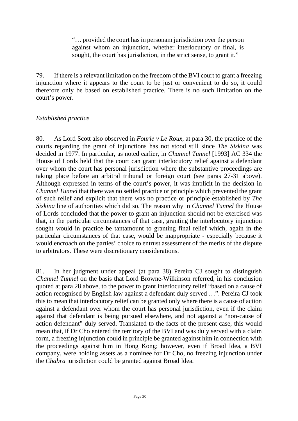"… provided the court has in personam jurisdiction over the person against whom an injunction, whether interlocutory or final, is sought, the court has jurisdiction, in the strict sense, to grant it."

79. If there is a relevant limitation on the freedom of the BVI court to grant a freezing injunction where it appears to the court to be just or convenient to do so, it could therefore only be based on established practice. There is no such limitation on the court's power.

#### *Established practice*

80. As Lord Scott also observed in *Fourie v Le Roux*, at para 30, the practice of the courts regarding the grant of injunctions has not stood still since *The Siskina* was decided in 1977. In particular, as noted earlier, in *Channel Tunnel* [1993] AC 334 the House of Lords held that the court can grant interlocutory relief against a defendant over whom the court has personal jurisdiction where the substantive proceedings are taking place before an arbitral tribunal or foreign court (see paras 27-31 above). Although expressed in terms of the court's power, it was implicit in the decision in *Channel Tunnel* that there was no settled practice or principle which prevented the grant of such relief and explicit that there was no practice or principle established by *The Siskina* line of authorities which did so. The reason why in *Channel Tunnel* the House of Lords concluded that the power to grant an injunction should not be exercised was that, in the particular circumstances of that case, granting the interlocutory injunction sought would in practice be tantamount to granting final relief which, again in the particular circumstances of that case, would be inappropriate - especially because it would encroach on the parties' choice to entrust assessment of the merits of the dispute to arbitrators. These were discretionary considerations.

81. In her judgment under appeal (at para 38) Pereira CJ sought to distinguish *Channel Tunnel* on the basis that Lord Browne-Wilkinson referred, in his conclusion quoted at para 28 above, to the power to grant interlocutory relief "based on a cause of action recognised by English law against a defendant duly served …". Pereira CJ took this to mean that interlocutory relief can be granted only where there is a cause of action against a defendant over whom the court has personal jurisdiction, even if the claim against that defendant is being pursued elsewhere, and not against a "non-cause of action defendant" duly served. Translated to the facts of the present case, this would mean that, if Dr Cho entered the territory of the BVI and was duly served with a claim form, a freezing injunction could in principle be granted against him in connection with the proceedings against him in Hong Kong; however, even if Broad Idea, a BVI company, were holding assets as a nominee for Dr Cho, no freezing injunction under the *Chabra* jurisdiction could be granted against Broad Idea.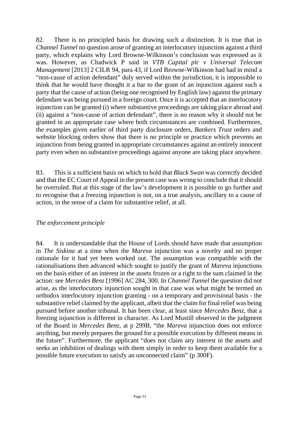82. There is no principled basis for drawing such a distinction. It is true that in *Channel Tunnel* no question arose of granting an interlocutory injunction against a third party, which explains why Lord Browne-Wilkinson's conclusion was expressed as it was. However, as Chadwick P said in *VTB Capital plc v Universal Telecom Management* [2013] 2 CILR 94, para 43, if Lord Browne-Wilkinson had had in mind a "non-cause of action defendant" duly served within the jurisdiction, it is impossible to think that he would have thought it a bar to the grant of an injunction against such a party that the cause of action (being one recognised by English law) against the primary defendant was being pursued in a foreign court. Once it is accepted that an interlocutory injunction can be granted (i) where substantive proceedings are taking place abroad and (ii) against a "non-cause of action defendant", there is no reason why it should not be granted in an appropriate case where both circumstances are combined. Furthermore, the examples given earlier of third party disclosure orders, *Bankers Trust* orders and website blocking orders show that there is no principle or practice which prevents an injunction from being granted in appropriate circumstances against an entirely innocent party even when no substantive proceedings against anyone are taking place anywhere.

83. This is a sufficient basis on which to hold that *Black Swan* was correctly decided and that the EC Court of Appeal in the present case was wrong to conclude that it should be overruled. But at this stage of the law's development it is possible to go further and to recognise that a freezing injunction is not, on a true analysis, ancillary to a cause of action, in the sense of a claim for substantive relief, at all.

#### *The enforcement principle*

84. It is understandable that the House of Lords should have made that assumption in *The Siskina* at a time when the *Mareva* injunction was a novelty and no proper rationale for it had yet been worked out. The assumption was compatible with the rationalisations then advanced which sought to justify the grant of *Mareva* injunctions on the basis either of an interest in the assets frozen or a right to the sum claimed in the action: see *Mercedes Benz* [1996] AC 284, 300. In *Channel Tunnel* the question did not arise, as the interlocutory injunction sought in that case was what might be termed an orthodox interlocutory injunction granting - on a temporary and provisional basis - the substantive relief claimed by the applicant, albeit that the claim for final relief was being pursued before another tribunal. It has been clear, at least since *Mercedes Benz*, that a freezing injunction is different in character. As Lord Mustill observed in the judgment of the Board in *Mercedes Benz*, at p 299B, "the *Mareva* injunction does not enforce anything, but merely prepares the ground for a possible execution by different means in the future". Furthermore, the applicant "does not claim any interest in the assets and seeks an inhibition of dealings with them simply in order to keep them available for a possible future execution to satisfy an unconnected claim" (p 300F).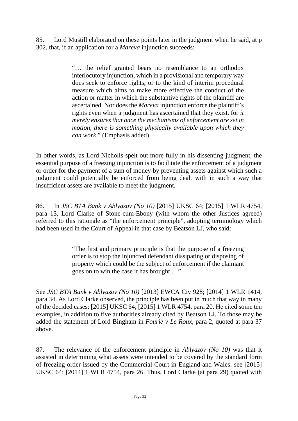85. Lord Mustill elaborated on these points later in the judgment when he said, at p 302, that, if an application for a *Mareva* injunction succeeds:

> "… the relief granted bears no resemblance to an orthodox interlocutory injunction, which in a provisional and temporary way does seek to enforce rights, or to the kind of interim procedural measure which aims to make more effective the conduct of the action or matter in which the substantive rights of the plaintiff are ascertained. Nor does the *Mareva* injunction enforce the plaintiff's rights even when a judgment has ascertained that they exist, for *it merely ensures that once the mechanisms of enforcement are set in motion, there is something physically available upon which they can work*." (Emphasis added)

In other words, as Lord Nicholls spelt out more fully in his dissenting judgment, the essential purpose of a freezing injunction is to facilitate the enforcement of a judgment or order for the payment of a sum of money by preventing assets against which such a judgment could potentially be enforced from being dealt with in such a way that insufficient assets are available to meet the judgment.

86. In *JSC BTA Bank v Ablyazov (No 10)* [2015] UKSC 64; [2015] 1 WLR 4754, para 13, Lord Clarke of Stone-cum-Ebony (with whom the other Justices agreed) referred to this rationale as "the enforcement principle", adopting terminology which had been used in the Court of Appeal in that case by Beatson LJ, who said:

> "The first and primary principle is that the purpose of a freezing order is to stop the injuncted defendant dissipating or disposing of property which could be the subject of enforcement if the claimant goes on to win the case it has brought …"

See *JSC BTA Bank v Ablyazov (No 10)* [2013] EWCA Civ 928; [2014] 1 WLR 1414, para 34. As Lord Clarke observed, the principle has been put in much that way in many of the decided cases: [2015] UKSC 64; [2015] 1 WLR 4754, para 20. He cited some ten examples, in addition to five authorities already cited by Beatson LJ. To those may be added the statement of Lord Bingham in *Fourie v Le Roux*, para 2, quoted at para 37 above.

87. The relevance of the enforcement principle in *Ablyazov (No 10)* was that it assisted in determining what assets were intended to be covered by the standard form of freezing order issued by the Commercial Court in England and Wales: see [2015] UKSC 64; [2014] 1 WLR 4754, para 26. Thus, Lord Clarke (at para 29) quoted with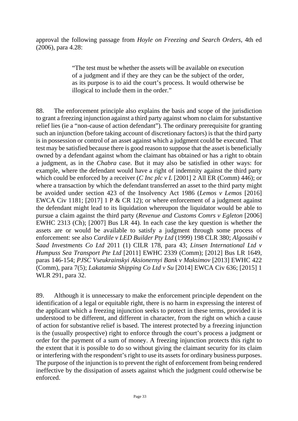approval the following passage from *Hoyle on Freezing and Search Orders*, 4th ed (2006), para 4.28:

> "The test must be whether the assets will be available on execution of a judgment and if they are they can be the subject of the order, as its purpose is to aid the court's process. It would otherwise be illogical to include them in the order."

88. The enforcement principle also explains the basis and scope of the jurisdiction to grant a freezing injunction against a third party against whom no claim for substantive relief lies (ie a "non-cause of action defendant"). The ordinary prerequisite for granting such an injunction (before taking account of discretionary factors) is that the third party is in possession or control of an asset against which a judgment could be executed. That test may be satisfied because there is good reason to suppose that the asset is beneficially owned by a defendant against whom the claimant has obtained or has a right to obtain a judgment, as in the *Chabra* case. But it may also be satisfied in other ways: for example, where the defendant would have a right of indemnity against the third party which could be enforced by a receiver (*C Inc plc v L* [2001] 2 All ER (Comm) 446); or where a transaction by which the defendant transferred an asset to the third party might be avoided under section 423 of the Insolvency Act 1986 (*Lemos v Lemos* [2016] EWCA Civ 1181; [2017] 1 P & CR 12); or where enforcement of a judgment against the defendant might lead to its liquidation whereupon the liquidator would be able to pursue a claim against the third party (*Revenue and Customs Comrs v Egleton* [2006] EWHC 2313 (Ch); [2007] Bus LR 44). In each case the key question is whether the assets are or would be available to satisfy a judgment through some process of enforcement: see also *Cardile v LED Builder Pty Ltd* (1999) 198 CLR 380; *Algosaibi v Saad Investments Co Ltd* 2011 (1) CILR 178, para 43; *Linsen International Ltd v Humpuss Sea Transport Pte Ltd* [2011] EWHC 2339 (Comm); [2012] Bus LR 1649, paras 146-154; *PJSC Vseukrainskyi Aksionernyi Bank v Maksimov* [2013] EWHC 422 (Comm), para 7(5); *Lakatamia Shipping Co Ltd v Su* [2014] EWCA Civ 636; [2015] 1 WLR 291, para 32.

89. Although it is unnecessary to make the enforcement principle dependent on the identification of a legal or equitable right, there is no harm in expressing the interest of the applicant which a freezing injunction seeks to protect in these terms, provided it is understood to be different, and different in character, from the right on which a cause of action for substantive relief is based. The interest protected by a freezing injunction is the (usually prospective) right to enforce through the court's process a judgment or order for the payment of a sum of money. A freezing injunction protects this right to the extent that it is possible to do so without giving the claimant security for its claim or interfering with the respondent's right to use its assets for ordinary business purposes. The purpose of the injunction is to prevent the right of enforcement from being rendered ineffective by the dissipation of assets against which the judgment could otherwise be enforced.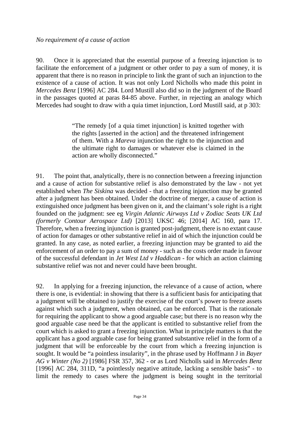90. Once it is appreciated that the essential purpose of a freezing injunction is to facilitate the enforcement of a judgment or other order to pay a sum of money, it is apparent that there is no reason in principle to link the grant of such an injunction to the existence of a cause of action. It was not only Lord Nicholls who made this point in *Mercedes Benz* [1996] AC 284. Lord Mustill also did so in the judgment of the Board in the passages quoted at paras 84-85 above. Further, in rejecting an analogy which Mercedes had sought to draw with a quia timet injunction, Lord Mustill said, at p 303:

> "The remedy [of a quia timet injunction] is knitted together with the rights [asserted in the action] and the threatened infringement of them. With a *Mareva* injunction the right to the injunction and the ultimate right to damages or whatever else is claimed in the action are wholly disconnected."

91. The point that, analytically, there is no connection between a freezing injunction and a cause of action for substantive relief is also demonstrated by the law - not yet established when *The Siskina* was decided - that a freezing injunction may be granted after a judgment has been obtained. Under the doctrine of merger, a cause of action is extinguished once judgment has been given on it, and the claimant's sole right is a right founded on the judgment: see eg *Virgin Atlantic Airways Ltd v Zodiac Seats UK Ltd (formerly Contour Aerospace Ltd)* [2013] UKSC 46; [2014] AC 160, para 17. Therefore, when a freezing injunction is granted post-judgment, there is no extant cause of action for damages or other substantive relief in aid of which the injunction could be granted. In any case, as noted earlier, a freezing injunction may be granted to aid the enforcement of an order to pay a sum of money - such as the costs order made in favour of the successful defendant in *Jet West Ltd v Haddican* - for which an action claiming substantive relief was not and never could have been brought.

92. In applying for a freezing injunction, the relevance of a cause of action, where there is one, is evidential: in showing that there is a sufficient basis for anticipating that a judgment will be obtained to justify the exercise of the court's power to freeze assets against which such a judgment, when obtained, can be enforced. That is the rationale for requiring the applicant to show a good arguable case; but there is no reason why the good arguable case need be that the applicant is entitled to substantive relief from the court which is asked to grant a freezing injunction. What in principle matters is that the applicant has a good arguable case for being granted substantive relief in the form of a judgment that will be enforceable by the court from which a freezing injunction is sought. It would be "a pointless insularity", in the phrase used by Hoffmann J in *Bayer AG v Winter (No 2)* [1986] FSR 357, 362 - or as Lord Nicholls said in *Mercedes Benz* [1996] AC 284, 311D, "a pointlessly negative attitude, lacking a sensible basis" - to limit the remedy to cases where the judgment is being sought in the territorial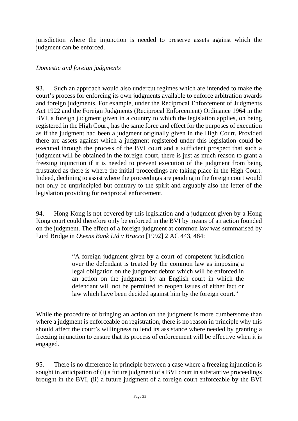jurisdiction where the injunction is needed to preserve assets against which the judgment can be enforced.

### *Domestic and foreign judgments*

93. Such an approach would also undercut regimes which are intended to make the court's process for enforcing its own judgments available to enforce arbitration awards and foreign judgments. For example, under the Reciprocal Enforcement of Judgments Act 1922 and the Foreign Judgments (Reciprocal Enforcement) Ordinance 1964 in the BVI, a foreign judgment given in a country to which the legislation applies, on being registered in the High Court, has the same force and effect for the purposes of execution as if the judgment had been a judgment originally given in the High Court. Provided there are assets against which a judgment registered under this legislation could be executed through the process of the BVI court and a sufficient prospect that such a judgment will be obtained in the foreign court, there is just as much reason to grant a freezing injunction if it is needed to prevent execution of the judgment from being frustrated as there is where the initial proceedings are taking place in the High Court. Indeed, declining to assist where the proceedings are pending in the foreign court would not only be unprincipled but contrary to the spirit and arguably also the letter of the legislation providing for reciprocal enforcement.

94. Hong Kong is not covered by this legislation and a judgment given by a Hong Kong court could therefore only be enforced in the BVI by means of an action founded on the judgment. The effect of a foreign judgment at common law was summarised by Lord Bridge in *Owens Bank Ltd v Bracco* [1992] 2 AC 443, 484:

> "A foreign judgment given by a court of competent jurisdiction over the defendant is treated by the common law as imposing a legal obligation on the judgment debtor which will be enforced in an action on the judgment by an English court in which the defendant will not be permitted to reopen issues of either fact or law which have been decided against him by the foreign court."

While the procedure of bringing an action on the judgment is more cumbersome than where a judgment is enforceable on registration, there is no reason in principle why this should affect the court's willingness to lend its assistance where needed by granting a freezing injunction to ensure that its process of enforcement will be effective when it is engaged.

95. There is no difference in principle between a case where a freezing injunction is sought in anticipation of (i) a future judgment of a BVI court in substantive proceedings brought in the BVI, (ii) a future judgment of a foreign court enforceable by the BVI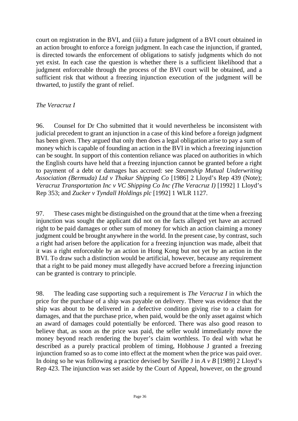court on registration in the BVI, and (iii) a future judgment of a BVI court obtained in an action brought to enforce a foreign judgment. In each case the injunction, if granted, is directed towards the enforcement of obligations to satisfy judgments which do not yet exist. In each case the question is whether there is a sufficient likelihood that a judgment enforceable through the process of the BVI court will be obtained, and a sufficient risk that without a freezing injunction execution of the judgment will be thwarted, to justify the grant of relief.

### *The Veracruz I*

96. Counsel for Dr Cho submitted that it would nevertheless be inconsistent with judicial precedent to grant an injunction in a case of this kind before a foreign judgment has been given. They argued that only then does a legal obligation arise to pay a sum of money which is capable of founding an action in the BVI in which a freezing injunction can be sought. In support of this contention reliance was placed on authorities in which the English courts have held that a freezing injunction cannot be granted before a right to payment of a debt or damages has accrued: see *Steamship Mutual Underwriting Association (Bermuda) Ltd v Thakur Shipping Co* [1986] 2 Lloyd's Rep 439 (Note); *Veracruz Transportation Inc v VC Shipping Co Inc (The Veracruz I)* [1992] 1 Lloyd's Rep 353; and *Zucker v Tyndall Holdings plc* [1992] 1 WLR 1127.

97. These cases might be distinguished on the ground that at the time when a freezing injunction was sought the applicant did not on the facts alleged yet have an accrued right to be paid damages or other sum of money for which an action claiming a money judgment could be brought anywhere in the world. In the present case, by contrast, such a right had arisen before the application for a freezing injunction was made, albeit that it was a right enforceable by an action in Hong Kong but not yet by an action in the BVI. To draw such a distinction would be artificial, however, because any requirement that a right to be paid money must allegedly have accrued before a freezing injunction can be granted is contrary to principle.

98. The leading case supporting such a requirement is *The Veracruz I* in which the price for the purchase of a ship was payable on delivery. There was evidence that the ship was about to be delivered in a defective condition giving rise to a claim for damages, and that the purchase price, when paid, would be the only asset against which an award of damages could potentially be enforced. There was also good reason to believe that, as soon as the price was paid, the seller would immediately move the money beyond reach rendering the buyer's claim worthless. To deal with what he described as a purely practical problem of timing, Hobhouse J granted a freezing injunction framed so as to come into effect at the moment when the price was paid over. In doing so he was following a practice devised by Saville J in *A v B* [1989] 2 Lloyd's Rep 423. The injunction was set aside by the Court of Appeal, however, on the ground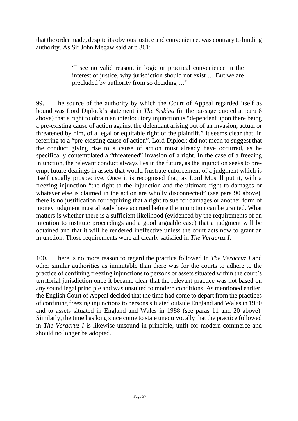that the order made, despite its obvious justice and convenience, was contrary to binding authority. As Sir John Megaw said at p 361:

> "I see no valid reason, in logic or practical convenience in the interest of justice, why jurisdiction should not exist … But we are precluded by authority from so deciding …"

99. The source of the authority by which the Court of Appeal regarded itself as bound was Lord Diplock's statement in *The Siskina* (in the passage quoted at para 8 above) that a right to obtain an interlocutory injunction is "dependent upon there being a pre-existing cause of action against the defendant arising out of an invasion, actual or threatened by him, of a legal or equitable right of the plaintiff." It seems clear that, in referring to a "pre-existing cause of action", Lord Diplock did not mean to suggest that the conduct giving rise to a cause of action must already have occurred, as he specifically contemplated a "threatened" invasion of a right. In the case of a freezing injunction, the relevant conduct always lies in the future, as the injunction seeks to preempt future dealings in assets that would frustrate enforcement of a judgment which is itself usually prospective. Once it is recognised that, as Lord Mustill put it, with a freezing injunction "the right to the injunction and the ultimate right to damages or whatever else is claimed in the action are wholly disconnected" (see para 90 above), there is no justification for requiring that a right to sue for damages or another form of money judgment must already have accrued before the injunction can be granted. What matters is whether there is a sufficient likelihood (evidenced by the requirements of an intention to institute proceedings and a good arguable case) that a judgment will be obtained and that it will be rendered ineffective unless the court acts now to grant an injunction. Those requirements were all clearly satisfied in *The Veracruz I*.

100. There is no more reason to regard the practice followed in *The Veracruz I* and other similar authorities as immutable than there was for the courts to adhere to the practice of confining freezing injunctions to persons or assets situated within the court's territorial jurisdiction once it became clear that the relevant practice was not based on any sound legal principle and was unsuited to modern conditions. As mentioned earlier, the English Court of Appeal decided that the time had come to depart from the practices of confining freezing injunctions to persons situated outside England and Wales in 1980 and to assets situated in England and Wales in 1988 (see paras 11 and 20 above). Similarly, the time has long since come to state unequivocally that the practice followed in *The Veracruz I* is likewise unsound in principle, unfit for modern commerce and should no longer be adopted.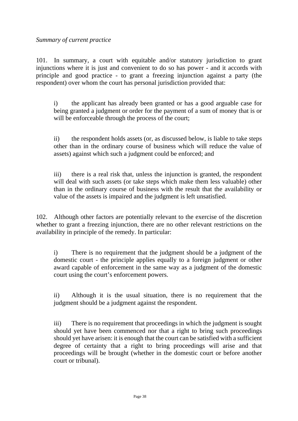#### *Summary of current practice*

101. In summary, a court with equitable and/or statutory jurisdiction to grant injunctions where it is just and convenient to do so has power - and it accords with principle and good practice - to grant a freezing injunction against a party (the respondent) over whom the court has personal jurisdiction provided that:

i) the applicant has already been granted or has a good arguable case for being granted a judgment or order for the payment of a sum of money that is or will be enforceable through the process of the court;

ii) the respondent holds assets (or, as discussed below, is liable to take steps other than in the ordinary course of business which will reduce the value of assets) against which such a judgment could be enforced; and

iii) there is a real risk that, unless the injunction is granted, the respondent will deal with such assets (or take steps which make them less valuable) other than in the ordinary course of business with the result that the availability or value of the assets is impaired and the judgment is left unsatisfied.

102. Although other factors are potentially relevant to the exercise of the discretion whether to grant a freezing injunction, there are no other relevant restrictions on the availability in principle of the remedy. In particular:

i) There is no requirement that the judgment should be a judgment of the domestic court - the principle applies equally to a foreign judgment or other award capable of enforcement in the same way as a judgment of the domestic court using the court's enforcement powers.

ii) Although it is the usual situation, there is no requirement that the judgment should be a judgment against the respondent.

iii) There is no requirement that proceedings in which the judgment is sought should yet have been commenced nor that a right to bring such proceedings should yet have arisen: it is enough that the court can be satisfied with a sufficient degree of certainty that a right to bring proceedings will arise and that proceedings will be brought (whether in the domestic court or before another court or tribunal).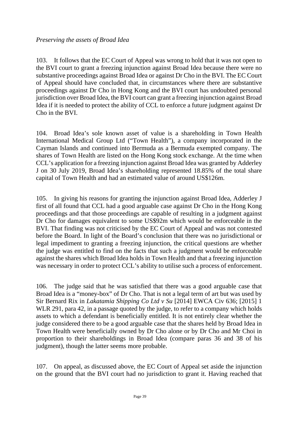103. It follows that the EC Court of Appeal was wrong to hold that it was not open to the BVI court to grant a freezing injunction against Broad Idea because there were no substantive proceedings against Broad Idea or against Dr Cho in the BVI. The EC Court of Appeal should have concluded that, in circumstances where there are substantive proceedings against Dr Cho in Hong Kong and the BVI court has undoubted personal jurisdiction over Broad Idea, the BVI court can grant a freezing injunction against Broad Idea if it is needed to protect the ability of CCL to enforce a future judgment against Dr Cho in the BVI.

104. Broad Idea's sole known asset of value is a shareholding in Town Health International Medical Group Ltd ("Town Health"), a company incorporated in the Cayman Islands and continued into Bermuda as a Bermuda exempted company. The shares of Town Health are listed on the Hong Kong stock exchange. At the time when CCL's application for a freezing injunction against Broad Idea was granted by Adderley J on 30 July 2019, Broad Idea's shareholding represented 18.85% of the total share capital of Town Health and had an estimated value of around US\$126m.

105. In giving his reasons for granting the injunction against Broad Idea, Adderley J first of all found that CCL had a good arguable case against Dr Cho in the Hong Kong proceedings and that those proceedings are capable of resulting in a judgment against Dr Cho for damages equivalent to some US\$92m which would be enforceable in the BVI. That finding was not criticised by the EC Court of Appeal and was not contested before the Board. In light of the Board's conclusion that there was no jurisdictional or legal impediment to granting a freezing injunction, the critical questions are whether the judge was entitled to find on the facts that such a judgment would be enforceable against the shares which Broad Idea holds in Town Health and that a freezing injunction was necessary in order to protect CCL's ability to utilise such a process of enforcement.

106. The judge said that he was satisfied that there was a good arguable case that Broad Idea is a "money-box" of Dr Cho. That is not a legal term of art but was used by Sir Bernard Rix in *Lakatamia Shipping Co Ltd v Su* [2014] EWCA Civ 636; [2015] 1 WLR 291, para 42, in a passage quoted by the judge, to refer to a company which holds assets to which a defendant is beneficially entitled. It is not entirely clear whether the judge considered there to be a good arguable case that the shares held by Broad Idea in Town Health were beneficially owned by Dr Cho alone or by Dr Cho and Mr Choi in proportion to their shareholdings in Broad Idea (compare paras 36 and 38 of his judgment), though the latter seems more probable.

107. On appeal, as discussed above, the EC Court of Appeal set aside the injunction on the ground that the BVI court had no jurisdiction to grant it. Having reached that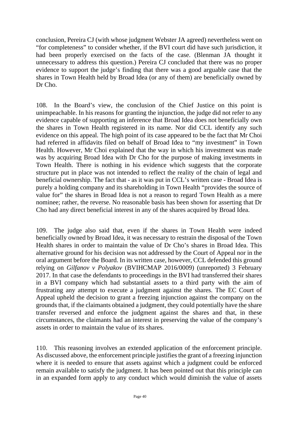conclusion, Pereira CJ (with whose judgment Webster JA agreed) nevertheless went on "for completeness" to consider whether, if the BVI court did have such jurisdiction, it had been properly exercised on the facts of the case. (Blenman JA thought it unnecessary to address this question.) Pereira CJ concluded that there was no proper evidence to support the judge's finding that there was a good arguable case that the shares in Town Health held by Broad Idea (or any of them) are beneficially owned by Dr Cho.

108. In the Board's view, the conclusion of the Chief Justice on this point is unimpeachable. In his reasons for granting the injunction, the judge did not refer to any evidence capable of supporting an inference that Broad Idea does not beneficially own the shares in Town Health registered in its name. Nor did CCL identify any such evidence on this appeal. The high point of its case appeared to be the fact that Mr Choi had referred in affidavits filed on behalf of Broad Idea to "my investment" in Town Health. However, Mr Choi explained that the way in which his investment was made was by acquiring Broad Idea with Dr Cho for the purpose of making investments in Town Health. There is nothing in his evidence which suggests that the corporate structure put in place was not intended to reflect the reality of the chain of legal and beneficial ownership. The fact that - as it was put in CCL's written case - Broad Idea is purely a holding company and its shareholding in Town Health "provides the source of value for" the shares in Broad Idea is not a reason to regard Town Health as a mere nominee; rather, the reverse. No reasonable basis has been shown for asserting that Dr Cho had any direct beneficial interest in any of the shares acquired by Broad Idea.

109. The judge also said that, even if the shares in Town Health were indeed beneficially owned by Broad Idea, it was necessary to restrain the disposal of the Town Health shares in order to maintain the value of Dr Cho's shares in Broad Idea. This alternative ground for his decision was not addressed by the Court of Appeal nor in the oral argument before the Board. In its written case, however, CCL defended this ground relying on *Gilfanov v Polyakov* (BVIHCMAP 2016/0009) (unreported) 3 February 2017. In that case the defendants to proceedings in the BVI had transferred their shares in a BVI company which had substantial assets to a third party with the aim of frustrating any attempt to execute a judgment against the shares. The EC Court of Appeal upheld the decision to grant a freezing injunction against the company on the grounds that, if the claimants obtained a judgment, they could potentially have the share transfer reversed and enforce the judgment against the shares and that, in these circumstances, the claimants had an interest in preserving the value of the company's assets in order to maintain the value of its shares.

110. This reasoning involves an extended application of the enforcement principle. As discussed above, the enforcement principle justifies the grant of a freezing injunction where it is needed to ensure that assets against which a judgment could be enforced remain available to satisfy the judgment. It has been pointed out that this principle can in an expanded form apply to any conduct which would diminish the value of assets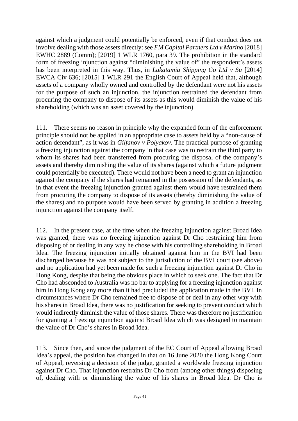against which a judgment could potentially be enforced, even if that conduct does not involve dealing with those assets directly: see *FM Capital Partners Ltd v Marino* [2018] EWHC 2889 (Comm); [2019] 1 WLR 1760, para 39. The prohibition in the standard form of freezing injunction against "diminishing the value of" the respondent's assets has been interpreted in this way. Thus, in *Lakatamia Shipping Co Ltd v Su* [2014] EWCA Civ 636; [2015] 1 WLR 291 the English Court of Appeal held that, although assets of a company wholly owned and controlled by the defendant were not his assets for the purpose of such an injunction, the injunction restrained the defendant from procuring the company to dispose of its assets as this would diminish the value of his shareholding (which was an asset covered by the injunction).

111. There seems no reason in principle why the expanded form of the enforcement principle should not be applied in an appropriate case to assets held by a "non-cause of action defendant", as it was in *Gilfanov v Polyakov*. The practical purpose of granting a freezing injunction against the company in that case was to restrain the third party to whom its shares had been transferred from procuring the disposal of the company's assets and thereby diminishing the value of its shares (against which a future judgment could potentially be executed). There would not have been a need to grant an injunction against the company if the shares had remained in the possession of the defendants, as in that event the freezing injunction granted against them would have restrained them from procuring the company to dispose of its assets (thereby diminishing the value of the shares) and no purpose would have been served by granting in addition a freezing injunction against the company itself.

112. In the present case, at the time when the freezing injunction against Broad Idea was granted, there was no freezing injunction against Dr Cho restraining him from disposing of or dealing in any way he chose with his controlling shareholding in Broad Idea. The freezing injunction initially obtained against him in the BVI had been discharged because he was not subject to the jurisdiction of the BVI court (see above) and no application had yet been made for such a freezing injunction against Dr Cho in Hong Kong, despite that being the obvious place in which to seek one. The fact that Dr Cho had absconded to Australia was no bar to applying for a freezing injunction against him in Hong Kong any more than it had precluded the application made in the BVI. In circumstances where Dr Cho remained free to dispose of or deal in any other way with his shares in Broad Idea, there was no justification for seeking to prevent conduct which would indirectly diminish the value of those shares. There was therefore no justification for granting a freezing injunction against Broad Idea which was designed to maintain the value of Dr Cho's shares in Broad Idea.

113. Since then, and since the judgment of the EC Court of Appeal allowing Broad Idea's appeal, the position has changed in that on 16 June 2020 the Hong Kong Court of Appeal, reversing a decision of the judge, granted a worldwide freezing injunction against Dr Cho. That injunction restrains Dr Cho from (among other things) disposing of, dealing with or diminishing the value of his shares in Broad Idea. Dr Cho is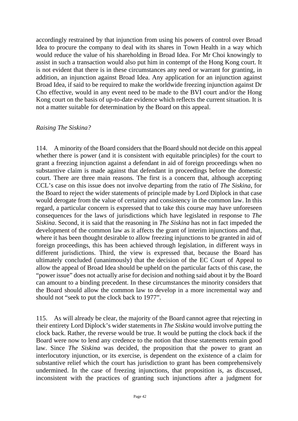accordingly restrained by that injunction from using his powers of control over Broad Idea to procure the company to deal with its shares in Town Health in a way which would reduce the value of his shareholding in Broad Idea. For Mr Choi knowingly to assist in such a transaction would also put him in contempt of the Hong Kong court. It is not evident that there is in these circumstances any need or warrant for granting, in addition, an injunction against Broad Idea. Any application for an injunction against Broad Idea, if said to be required to make the worldwide freezing injunction against Dr Cho effective, would in any event need to be made to the BVI court and/or the Hong Kong court on the basis of up-to-date evidence which reflects the current situation. It is not a matter suitable for determination by the Board on this appeal.

#### *Raising The Siskina?*

114. A minority of the Board considers that the Board should not decide on this appeal whether there is power (and it is consistent with equitable principles) for the court to grant a freezing injunction against a defendant in aid of foreign proceedings when no substantive claim is made against that defendant in proceedings before the domestic court. There are three main reasons. The first is a concern that, although accepting CCL's case on this issue does not involve departing from the ratio of *The Siskina*, for the Board to reject the wider statements of principle made by Lord Diplock in that case would derogate from the value of certainty and consistency in the common law. In this regard, a particular concern is expressed that to take this course may have unforeseen consequences for the laws of jurisdictions which have legislated in response to *The Siskina*. Second, it is said that the reasoning in *The Siskina* has not in fact impeded the development of the common law as it affects the grant of interim injunctions and that, where it has been thought desirable to allow freezing injunctions to be granted in aid of foreign proceedings, this has been achieved through legislation, in different ways in different jurisdictions. Third, the view is expressed that, because the Board has ultimately concluded (unanimously) that the decision of the EC Court of Appeal to allow the appeal of Broad Idea should be upheld on the particular facts of this case, the "power issue" does not actually arise for decision and nothing said about it by the Board can amount to a binding precedent. In these circumstances the minority considers that the Board should allow the common law to develop in a more incremental way and should not "seek to put the clock back to 1977".

115. As will already be clear, the majority of the Board cannot agree that rejecting in their entirety Lord Diplock's wider statements in *The Siskina* would involve putting the clock back. Rather, the reverse would be true. It would be putting the clock back if the Board were now to lend any credence to the notion that those statements remain good law. Since *The Siskina* was decided, the proposition that the power to grant an interlocutory injunction, or its exercise, is dependent on the existence of a claim for substantive relief which the court has jurisdiction to grant has been comprehensively undermined. In the case of freezing injunctions, that proposition is, as discussed, inconsistent with the practices of granting such injunctions after a judgment for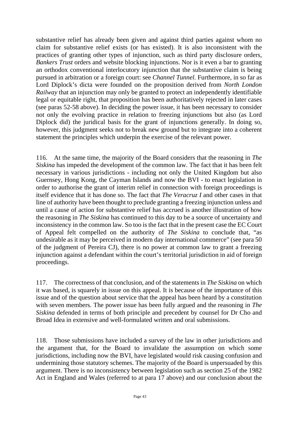substantive relief has already been given and against third parties against whom no claim for substantive relief exists (or has existed). It is also inconsistent with the practices of granting other types of injunction, such as third party disclosure orders, *Bankers Trust* orders and website blocking injunctions. Nor is it even a bar to granting an orthodox conventional interlocutory injunction that the substantive claim is being pursued in arbitration or a foreign court: see *Channel Tunnel*. Furthermore, in so far as Lord Diplock's dicta were founded on the proposition derived from *North London Railway* that an injunction may only be granted to protect an independently identifiable legal or equitable right, that proposition has been authoritatively rejected in later cases (see paras 52-58 above). In deciding the power issue, it has been necessary to consider not only the evolving practice in relation to freezing injunctions but also (as Lord Diplock did) the juridical basis for the grant of injunctions generally. In doing so, however, this judgment seeks not to break new ground but to integrate into a coherent statement the principles which underpin the exercise of the relevant power.

116. At the same time, the majority of the Board considers that the reasoning in *The Siskina* has impeded the development of the common law. The fact that it has been felt necessary in various jurisdictions - including not only the United Kingdom but also Guernsey, Hong Kong, the Cayman Islands and now the BVI - to enact legislation in order to authorise the grant of interim relief in connection with foreign proceedings is itself evidence that it has done so. The fact that *The Veracruz I* and other cases in that line of authority have been thought to preclude granting a freezing injunction unless and until a cause of action for substantive relief has accrued is another illustration of how the reasoning in *The Siskina* has continued to this day to be a source of uncertainty and inconsistency in the common law. So too is the fact that in the present case the EC Court of Appeal felt compelled on the authority of *The Siskina* to conclude that, "as undesirable as it may be perceived in modern day international commerce" (see para 50 of the judgment of Pereira CJ), there is no power at common law to grant a freezing injunction against a defendant within the court's territorial jurisdiction in aid of foreign proceedings.

117. The correctness of that conclusion, and of the statements in *The Siskina* on which it was based, is squarely in issue on this appeal. It is because of the importance of this issue and of the question about service that the appeal has been heard by a constitution with seven members. The power issue has been fully argued and the reasoning in *The Siskina* defended in terms of both principle and precedent by counsel for Dr Cho and Broad Idea in extensive and well-formulated written and oral submissions.

118. Those submissions have included a survey of the law in other jurisdictions and the argument that, for the Board to invalidate the assumption on which some jurisdictions, including now the BVI, have legislated would risk causing confusion and undermining those statutory schemes. The majority of the Board is unpersuaded by this argument. There is no inconsistency between legislation such as section 25 of the 1982 Act in England and Wales (referred to at para 17 above) and our conclusion about the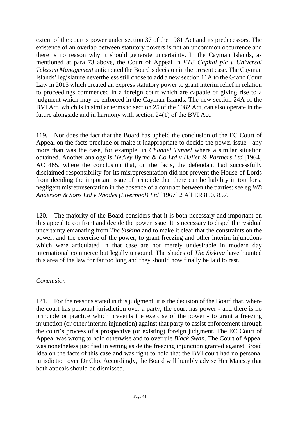extent of the court's power under section 37 of the 1981 Act and its predecessors. The existence of an overlap between statutory powers is not an uncommon occurrence and there is no reason why it should generate uncertainty. In the Cayman Islands, as mentioned at para 73 above, the Court of Appeal in *VTB Capital plc v Universal Telecom Management* anticipated the Board's decision in the present case. The Cayman Islands' legislature nevertheless still chose to add a new section 11A to the Grand Court Law in 2015 which created an express statutory power to grant interim relief in relation to proceedings commenced in a foreign court which are capable of giving rise to a judgment which may be enforced in the Cayman Islands. The new section 24A of the BVI Act, which is in similar terms to section 25 of the 1982 Act, can also operate in the future alongside and in harmony with section 24(1) of the BVI Act.

119. Nor does the fact that the Board has upheld the conclusion of the EC Court of Appeal on the facts preclude or make it inappropriate to decide the power issue - any more than was the case, for example, in *Channel Tunnel* where a similar situation obtained. Another analogy is *Hedley Byrne & Co Ltd v Heller & Partners Ltd* [1964] AC 465, where the conclusion that, on the facts, the defendant had successfully disclaimed responsibility for its misrepresentation did not prevent the House of Lords from deciding the important issue of principle that there can be liability in tort for a negligent misrepresentation in the absence of a contract between the parties: see eg *WB Anderson & Sons Ltd v Rhodes (Liverpool) Ltd* [1967] 2 All ER 850, 857.

120. The majority of the Board considers that it is both necessary and important on this appeal to confront and decide the power issue. It is necessary to dispel the residual uncertainty emanating from *The Siskina* and to make it clear that the constraints on the power, and the exercise of the power, to grant freezing and other interim injunctions which were articulated in that case are not merely undesirable in modern day international commerce but legally unsound. The shades of *The Siskina* have haunted this area of the law for far too long and they should now finally be laid to rest.

# *Conclusion*

121. For the reasons stated in this judgment, it is the decision of the Board that, where the court has personal jurisdiction over a party, the court has power - and there is no principle or practice which prevents the exercise of the power - to grant a freezing injunction (or other interim injunction) against that party to assist enforcement through the court's process of a prospective (or existing) foreign judgment. The EC Court of Appeal was wrong to hold otherwise and to overrule *Black Swan*. The Court of Appeal was nonetheless justified in setting aside the freezing injunction granted against Broad Idea on the facts of this case and was right to hold that the BVI court had no personal jurisdiction over Dr Cho. Accordingly, the Board will humbly advise Her Majesty that both appeals should be dismissed.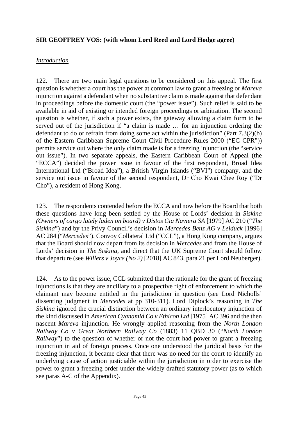#### **SIR GEOFFREY VOS: (with whom Lord Reed and Lord Hodge agree)**

#### *Introduction*

122. There are two main legal questions to be considered on this appeal. The first question is whether a court has the power at common law to grant a freezing or *Mareva* injunction against a defendant when no substantive claim is made against that defendant in proceedings before the domestic court (the "power issue"). Such relief is said to be available in aid of existing or intended foreign proceedings or arbitration. The second question is whether, if such a power exists, the gateway allowing a claim form to be served out of the jurisdiction if "a claim is made … for an injunction ordering the defendant to do or refrain from doing some act within the jurisdiction" (Part 7.3(2)(b) of the Eastern Caribbean Supreme Court Civil Procedure Rules 2000 ("EC CPR")) permits service out where the only claim made is for a freezing injunction (the "service out issue"). In two separate appeals, the Eastern Caribbean Court of Appeal (the "ECCA") decided the power issue in favour of the first respondent, Broad Idea International Ltd ("Broad Idea"), a British Virgin Islands ("BVI") company, and the service out issue in favour of the second respondent, Dr Cho Kwai Chee Roy ("Dr Cho"), a resident of Hong Kong.

123. The respondents contended before the ECCA and now before the Board that both these questions have long been settled by the House of Lords' decision in *Siskina (Owners of cargo lately laden on board) v Distos Cia Naviera SA* [1979] AC 210 ("*The Siskina*") and by the Privy Council's decision in *Mercedes Benz AG v Leiduck* [1996] AC 284 ("*Mercedes*"). Convoy Collateral Ltd ("CCL"), a Hong Kong company, argues that the Board should now depart from its decision in *Mercedes* and from the House of Lords' decision in *The Siskina*, and direct that the UK Supreme Court should follow that departure (see *Willers v Joyce (No 2)* [2018] AC 843, para 21 per Lord Neuberger).

124. As to the power issue, CCL submitted that the rationale for the grant of freezing injunctions is that they are ancillary to a prospective right of enforcement to which the claimant may become entitled in the jurisdiction in question (see Lord Nicholls' dissenting judgment in *Mercedes* at pp 310-311). Lord Diplock's reasoning in *The Siskina* ignored the crucial distinction between an ordinary interlocutory injunction of the kind discussed in *American Cyanamid Co v Ethicon Ltd* [1975] AC 396 and the then nascent *Mareva* injunction. He wrongly applied reasoning from the *North London Railway Co v Great Northern Railway Co* (1883) 11 QBD 30 ("*North London Railway*") to the question of whether or not the court had power to grant a freezing injunction in aid of foreign process. Once one understood the juridical basis for the freezing injunction, it became clear that there was no need for the court to identify an underlying cause of action justiciable within the jurisdiction in order to exercise the power to grant a freezing order under the widely drafted statutory power (as to which see paras A-C of the Appendix).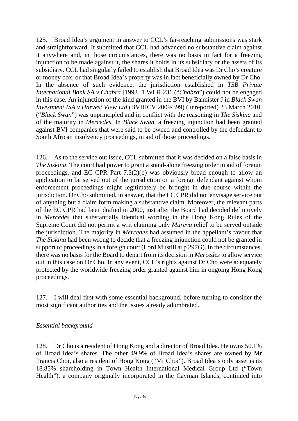125. Broad Idea's argument in answer to CCL's far-reaching submissions was stark and straightforward. It submitted that CCL had advanced no substantive claim against it anywhere and, in those circumstances, there was no basis in fact for a freezing injunction to be made against it, the shares it holds in its subsidiary or the assets of its subsidiary. CCL had singularly failed to establish that Broad Idea was Dr Cho's creature or money box, or that Broad Idea's property was in fact beneficially owned by Dr Cho. In the absence of such evidence, the jurisdiction established in *TSB Private International Bank SA v Chabra* [1992] 1 WLR 231 ("*Chabra*") could not be engaged in this case. An injunction of the kind granted in the BVI by Bannister J in *Black Swan Investment ISA v Harvest View Ltd* (BVIHCV 2009/399) (unreported) 23 March 2010, ("*Black Swan*") was unprincipled and in conflict with the reasoning in *The Siskina* and of the majority in *Mercedes*. In *Black Swan*, a freezing injunction had been granted against BVI companies that were said to be owned and controlled by the defendant to South African insolvency proceedings, in aid of those proceedings.

126. As to the service out issue, CCL submitted that it was decided on a false basis in *The Siskina*. The court had power to grant a stand-alone freezing order in aid of foreign proceedings, and EC CPR Part 7.3(2)(b) was obviously broad enough to allow an application to be served out of the jurisdiction on a foreign defendant against whom enforcement proceedings might legitimately be brought in due course within the jurisdiction. Dr Cho submitted, in answer, that the EC CPR did not envisage service out of anything but a claim form making a substantive claim. Moreover, the relevant parts of the EC CPR had been drafted in 2000, just after the Board had decided definitively in *Mercedes* that substantially identical wording in the Hong Kong Rules of the Supreme Court did not permit a writ claiming only *Mareva* relief to be served outside the jurisdiction. The majority in *Mercedes* had assumed in the appellant's favour that *The Siskina* had been wrong to decide that a freezing injunction could not be granted in support of proceedings in a foreign court (Lord Mustill at p 297G). In the circumstances, there was no basis for the Board to depart from its decision in *Mercedes* to allow service out in this case on Dr Cho. In any event, CCL's rights against Dr Cho were adequately protected by the worldwide freezing order granted against him in ongoing Hong Kong proceedings.

127. I will deal first with some essential background, before turning to consider the most significant authorities and the issues already adumbrated.

# *Essential background*

128. Dr Cho is a resident of Hong Kong and a director of Broad Idea. He owns 50.1% of Broad Idea's shares. The other 49.9% of Broad Idea's shares are owned by Mr Francis Choi, also a resident of Hong Kong ("Mr Choi"). Broad Idea's only asset is its 18.85% shareholding in Town Health International Medical Group Ltd ("Town Health"), a company originally incorporated in the Cayman Islands, continued into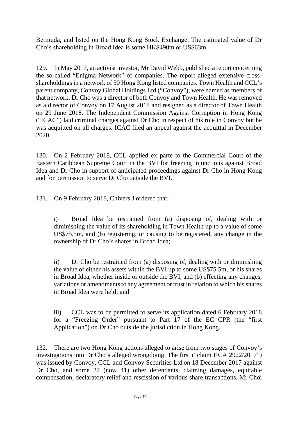Bermuda, and listed on the Hong Kong Stock Exchange. The estimated value of Dr Cho's shareholding in Broad Idea is some HK\$490m or US\$63m.

129. In May 2017, an activist investor, Mr David Webb, published a report concerning the so-called "Enigma Network" of companies. The report alleged extensive crossshareholdings in a network of 50 Hong Kong listed companies. Town Health and CCL's parent company, Convoy Global Holdings Ltd ("Convoy"), were named as members of that network. Dr Cho was a director of both Convoy and Town Health. He was removed as a director of Convoy on 17 August 2018 and resigned as a director of Town Health on 29 June 2018. The Independent Commission Against Corruption in Hong Kong ("ICAC") laid criminal charges against Dr Cho in respect of his role in Convoy but he was acquitted on all charges. ICAC filed an appeal against the acquittal in December 2020.

130. On 2 February 2018, CCL applied ex parte to the Commercial Court of the Eastern Caribbean Supreme Court in the BVI for freezing injunctions against Broad Idea and Dr Cho in support of anticipated proceedings against Dr Cho in Hong Kong and for permission to serve Dr Cho outside the BVI.

131. On 9 February 2018, Chivers J ordered that:

i) Broad Idea be restrained from (a) disposing of, dealing with or diminishing the value of its shareholding in Town Health up to a value of some US\$75.5m, and (b) registering, or causing to be registered, any change in the ownership of Dr Cho's shares in Broad Idea;

ii) Dr Cho be restrained from (a) disposing of, dealing with or diminishing the value of either his assets within the BVI up to some US\$75.5m, or his shares in Broad Idea, whether inside or outside the BVI, and (b) effecting any changes, variations or amendments to any agreement or trust in relation to which his shares in Broad Idea were held; and

iii) CCL was to be permitted to serve its application dated 6 February 2018 for a "Freezing Order" pursuant to Part 17 of the EC CPR (the "first Application") on Dr Cho outside the jurisdiction in Hong Kong.

132. There are two Hong Kong actions alleged to arise from two stages of Convoy's investigations into Dr Cho's alleged wrongdoing. The first ("claim HCA 2922/2017") was issued by Convoy, CCL and Convoy Securities Ltd on 18 December 2017 against Dr Cho, and some 27 (now 41) other defendants, claiming damages, equitable compensation, declaratory relief and rescission of various share transactions. Mr Choi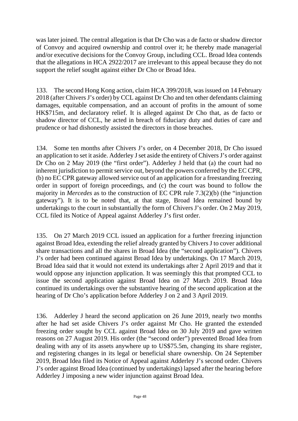was later joined. The central allegation is that Dr Cho was a de facto or shadow director of Convoy and acquired ownership and control over it; he thereby made managerial and/or executive decisions for the Convoy Group, including CCL. Broad Idea contends that the allegations in HCA 2922/2017 are irrelevant to this appeal because they do not support the relief sought against either Dr Cho or Broad Idea.

133. The second Hong Kong action, claim HCA 399/2018, was issued on 14 February 2018 (after Chivers J's order) by CCL against Dr Cho and ten other defendants claiming damages, equitable compensation, and an account of profits in the amount of some HK\$715m, and declaratory relief. It is alleged against Dr Cho that, as de facto or shadow director of CCL, he acted in breach of fiduciary duty and duties of care and prudence or had dishonestly assisted the directors in those breaches.

134. Some ten months after Chivers J's order, on 4 December 2018, Dr Cho issued an application to set it aside. Adderley J set aside the entirety of Chivers J's order against Dr Cho on 2 May 2019 (the "first order"). Adderley J held that (a) the court had no inherent jurisdiction to permit service out, beyond the powers conferred by the EC CPR, (b) no EC CPR gateway allowed service out of an application for a freestanding freezing order in support of foreign proceedings, and (c) the court was bound to follow the majority in *Mercedes* as to the construction of EC CPR rule 7.3(2)(b) (the "injunction gateway"). It is to be noted that, at that stage, Broad Idea remained bound by undertakings to the court in substantially the form of Chivers J's order. On 2 May 2019, CCL filed its Notice of Appeal against Adderley J's first order.

135. On 27 March 2019 CCL issued an application for a further freezing injunction against Broad Idea, extending the relief already granted by Chivers J to cover additional share transactions and all the shares in Broad Idea (the "second application"). Chivers J's order had been continued against Broad Idea by undertakings. On 17 March 2019, Broad Idea said that it would not extend its undertakings after 2 April 2019 and that it would oppose any injunction application. It was seemingly this that prompted CCL to issue the second application against Broad Idea on 27 March 2019. Broad Idea continued its undertakings over the substantive hearing of the second application at the hearing of Dr Cho's application before Adderley J on 2 and 3 April 2019.

136. Adderley J heard the second application on 26 June 2019, nearly two months after he had set aside Chivers J's order against Mr Cho. He granted the extended freezing order sought by CCL against Broad Idea on 30 July 2019 and gave written reasons on 27 August 2019. His order (the "second order") prevented Broad Idea from dealing with any of its assets anywhere up to US\$75.5m, changing its share register, and registering changes in its legal or beneficial share ownership. On 24 September 2019, Broad Idea filed its Notice of Appeal against Adderley J's second order. Chivers J's order against Broad Idea (continued by undertakings) lapsed after the hearing before Adderley J imposing a new wider injunction against Broad Idea.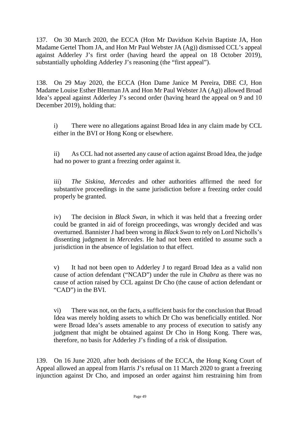137. On 30 March 2020, the ECCA (Hon Mr Davidson Kelvin Baptiste JA, Hon Madame Gertel Thom JA, and Hon Mr Paul Webster JA (Ag)) dismissed CCL's appeal against Adderley J's first order (having heard the appeal on 18 October 2019), substantially upholding Adderley J's reasoning (the "first appeal").

138. On 29 May 2020, the ECCA (Hon Dame Janice M Pereira, DBE CJ, Hon Madame Louise Esther Blenman JA and Hon Mr Paul Webster JA (Ag)) allowed Broad Idea's appeal against Adderley J's second order (having heard the appeal on 9 and 10 December 2019), holding that:

i) There were no allegations against Broad Idea in any claim made by CCL either in the BVI or Hong Kong or elsewhere.

ii) As CCL had not asserted any cause of action against Broad Idea, the judge had no power to grant a freezing order against it.

iii) *The Siskina*, *Mercedes* and other authorities affirmed the need for substantive proceedings in the same jurisdiction before a freezing order could properly be granted.

iv) The decision in *Black Swan*, in which it was held that a freezing order could be granted in aid of foreign proceedings, was wrongly decided and was overturned. Bannister J had been wrong in *Black Swan* to rely on Lord Nicholls's dissenting judgment in *Mercedes*. He had not been entitled to assume such a jurisdiction in the absence of legislation to that effect.

v) It had not been open to Adderley J to regard Broad Idea as a valid non cause of action defendant ("NCAD") under the rule in *Chabra* as there was no cause of action raised by CCL against Dr Cho (the cause of action defendant or "CAD") in the BVI.

vi) There was not, on the facts, a sufficient basis for the conclusion that Broad Idea was merely holding assets to which Dr Cho was beneficially entitled. Nor were Broad Idea's assets amenable to any process of execution to satisfy any judgment that might be obtained against Dr Cho in Hong Kong. There was, therefore, no basis for Adderley J's finding of a risk of dissipation.

139. On 16 June 2020, after both decisions of the ECCA, the Hong Kong Court of Appeal allowed an appeal from Harris J's refusal on 11 March 2020 to grant a freezing injunction against Dr Cho, and imposed an order against him restraining him from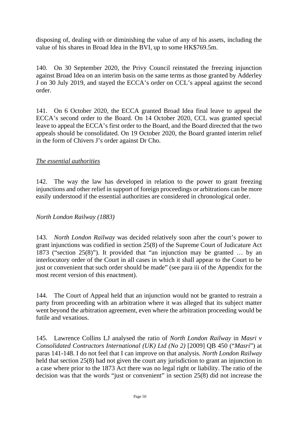disposing of, dealing with or diminishing the value of any of his assets, including the value of his shares in Broad Idea in the BVI, up to some HK\$769.5m.

140. On 30 September 2020, the Privy Council reinstated the freezing injunction against Broad Idea on an interim basis on the same terms as those granted by Adderley J on 30 July 2019, and stayed the ECCA's order on CCL's appeal against the second order.

141. On 6 October 2020, the ECCA granted Broad Idea final leave to appeal the ECCA's second order to the Board. On 14 October 2020, CCL was granted special leave to appeal the ECCA's first order to the Board, and the Board directed that the two appeals should be consolidated. On 19 October 2020, the Board granted interim relief in the form of Chivers J's order against Dr Cho.

# *The essential authorities*

142. The way the law has developed in relation to the power to grant freezing injunctions and other relief in support of foreign proceedings or arbitrations can be more easily understood if the essential authorities are considered in chronological order.

#### *North London Railway (1883)*

143. *North London Railway* was decided relatively soon after the court's power to grant injunctions was codified in section 25(8) of the Supreme Court of Judicature Act 1873 ("section 25(8)"). It provided that "an injunction may be granted … by an interlocutory order of the Court in all cases in which it shall appear to the Court to be just or convenient that such order should be made" (see para iii of the Appendix for the most recent version of this enactment).

144. The Court of Appeal held that an injunction would not be granted to restrain a party from proceeding with an arbitration where it was alleged that its subject matter went beyond the arbitration agreement, even where the arbitration proceeding would be futile and vexatious.

145. Lawrence Collins LJ analysed the ratio of *North London Railway* in *Masri v Consolidated Contractors International (UK) Ltd (No 2)* [2009] QB 450 ("*Masri*") at paras 141-148. I do not feel that I can improve on that analysis. *North London Railway* held that section 25(8) had not given the court any jurisdiction to grant an injunction in a case where prior to the 1873 Act there was no legal right or liability. The ratio of the decision was that the words "just or convenient" in section 25(8) did not increase the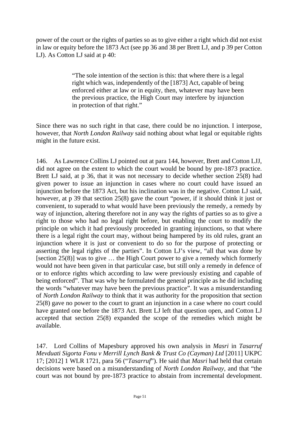power of the court or the rights of parties so as to give either a right which did not exist in law or equity before the 1873 Act (see pp 36 and 38 per Brett LJ, and p 39 per Cotton LJ). As Cotton LJ said at p 40:

> "The sole intention of the section is this: that where there is a legal right which was, independently of the [1873] Act, capable of being enforced either at law or in equity, then, whatever may have been the previous practice, the High Court may interfere by injunction in protection of that right."

Since there was no such right in that case, there could be no injunction. I interpose, however, that *North London Railway* said nothing about what legal or equitable rights might in the future exist.

146. As Lawrence Collins LJ pointed out at para 144, however, Brett and Cotton LJJ, did not agree on the extent to which the court would be bound by pre-1873 practice. Brett LJ said, at p 36, that it was not necessary to decide whether section 25(8) had given power to issue an injunction in cases where no court could have issued an injunction before the 1873 Act, but his inclination was in the negative. Cotton LJ said, however, at p 39 that section 25(8) gave the court "power, if it should think it just or convenient, to superadd to what would have been previously the remedy, a remedy by way of injunction, altering therefore not in any way the rights of parties so as to give a right to those who had no legal right before, but enabling the court to modify the principle on which it had previously proceeded in granting injunctions, so that where there is a legal right the court may, without being hampered by its old rules, grant an injunction where it is just or convenient to do so for the purpose of protecting or asserting the legal rights of the parties". In Cotton LJ's view, "all that was done by [section 25(8)] was to give … the High Court power to give a remedy which formerly would not have been given in that particular case, but still only a remedy in defence of or to enforce rights which according to law were previously existing and capable of being enforced". That was why he formulated the general principle as he did including the words "whatever may have been the previous practice". It was a misunderstanding of *North London Railway* to think that it was authority for the proposition that section 25(8) gave no power to the court to grant an injunction in a case where no court could have granted one before the 1873 Act. Brett LJ left that question open, and Cotton LJ accepted that section 25(8) expanded the scope of the remedies which might be available.

147. Lord Collins of Mapesbury approved his own analysis in *Masri* in *Tasarruf Mevduati Sigorta Fonu v Merrill Lynch Bank & Trust Co (Cayman) Ltd* [2011] UKPC 17; [2012] 1 WLR 1721, para 56 ("*Tasarruf*"). He said that *Masri* had held that certain decisions were based on a misunderstanding of *North London Railway*, and that "the court was not bound by pre-1873 practice to abstain from incremental development.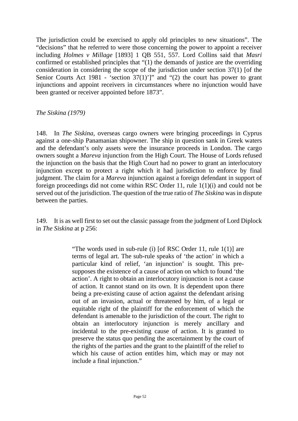The jurisdiction could be exercised to apply old principles to new situations". The "decisions" that he referred to were those concerning the power to appoint a receiver including *Holmes v Millage* [1893] 1 QB 551, 557. Lord Collins said that *Masri* confirmed or established principles that "(1) the demands of justice are the overriding consideration in considering the scope of the jurisdiction under section 37(1) [of the Senior Courts Act 1981 - 'section  $37(1)'$ ]" and "(2) the court has power to grant injunctions and appoint receivers in circumstances where no injunction would have been granted or receiver appointed before 1873".

*The Siskina (1979)*

148. In *The Siskina*, overseas cargo owners were bringing proceedings in Cyprus against a one-ship Panamanian shipowner. The ship in question sank in Greek waters and the defendant's only assets were the insurance proceeds in London. The cargo owners sought a *Mareva* injunction from the High Court. The House of Lords refused the injunction on the basis that the High Court had no power to grant an interlocutory injunction except to protect a right which it had jurisdiction to enforce by final judgment. The claim for a *Mareva* injunction against a foreign defendant in support of foreign proceedings did not come within RSC Order 11, rule 1(1)(i) and could not be served out of the jurisdiction. The question of the true ratio of *The Siskina* was in dispute between the parties.

149. It is as well first to set out the classic passage from the judgment of Lord Diplock in *The Siskina* at p 256:

> "The words used in sub-rule (i) [of RSC Order 11, rule 1(1)] are terms of legal art. The sub-rule speaks of 'the action' in which a particular kind of relief, 'an injunction' is sought. This presupposes the existence of a cause of action on which to found 'the action'. A right to obtain an interlocutory injunction is not a cause of action. It cannot stand on its own. It is dependent upon there being a pre-existing cause of action against the defendant arising out of an invasion, actual or threatened by him, of a legal or equitable right of the plaintiff for the enforcement of which the defendant is amenable to the jurisdiction of the court. The right to obtain an interlocutory injunction is merely ancillary and incidental to the pre-existing cause of action. It is granted to preserve the status quo pending the ascertainment by the court of the rights of the parties and the grant to the plaintiff of the relief to which his cause of action entitles him, which may or may not include a final injunction."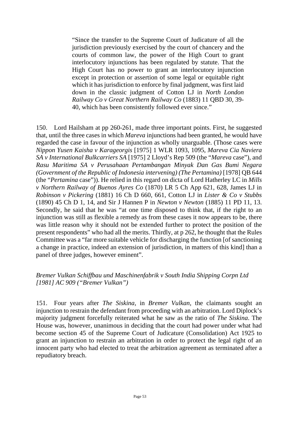"Since the transfer to the Supreme Court of Judicature of all the jurisdiction previously exercised by the court of chancery and the courts of common law, the power of the High Court to grant interlocutory injunctions has been regulated by statute. That the High Court has no power to grant an interlocutory injunction except in protection or assertion of some legal or equitable right which it has jurisdiction to enforce by final judgment, was first laid down in the classic judgment of Cotton LJ in *North London Railway Co v Great Northern Railway Co* (1883) 11 QBD 30, 39- 40, which has been consistently followed ever since."

150. Lord Hailsham at pp 260-261, made three important points. First, he suggested that, until the three cases in which *Mareva* injunctions had been granted, he would have regarded the case in favour of the injunction as wholly unarguable. (Those cases were *Nippon Yusen Kaisha v Karageorgis* [1975] 1 WLR 1093, 1095, *Mareva Cia Naviera SA v International Bulkcarriers SA* [1975] 2 Lloyd's Rep 509 (the "*Mareva* case"), and *Rasu Maritima SA v Perusahaan Pertambangan Minyak Dan Gas Bumi Negara (Government of the Republic of Indonesia intervening) (The Pertamina)* [1978] QB 644 (the "*Pertamina* case")). He relied in this regard on dicta of Lord Hatherley LC in *Mills v Northern Railway of Buenos Ayres Co* (1870) LR 5 Ch App 621, 628, James LJ in *Robinson v Pickering* (1881) 16 Ch D 660, 661, Cotton LJ in *Lister & Co v Stubbs* (1890) 45 Ch D 1, 14, and Sir J Hannen P in *Newton v Newton* (1885) 11 PD 11, 13. Secondly, he said that he was "at one time disposed to think that, if the right to an injunction was still as flexible a remedy as from these cases it now appears to be, there was little reason why it should not be extended further to protect the position of the present respondents" who had all the merits. Thirdly, at p 262, he thought that the Rules Committee was a "far more suitable vehicle for discharging the function [of sanctioning a change in practice, indeed an extension of jurisdiction, in matters of this kind] than a panel of three judges, however eminent".

### *Bremer Vulkan Schiffbau und Maschinenfabrik v South India Shipping Corpn Ltd [1981] AC 909 ("Bremer Vulkan")*

151. Four years after *The Siskina*, in *Bremer Vulkan*, the claimants sought an injunction to restrain the defendant from proceeding with an arbitration. Lord Diplock's majority judgment forcefully reiterated what he saw as the ratio of *The Siskina*. The House was, however, unanimous in deciding that the court had power under what had become section 45 of the Supreme Court of Judicature (Consolidation) Act 1925 to grant an injunction to restrain an arbitration in order to protect the legal right of an innocent party who had elected to treat the arbitration agreement as terminated after a repudiatory breach.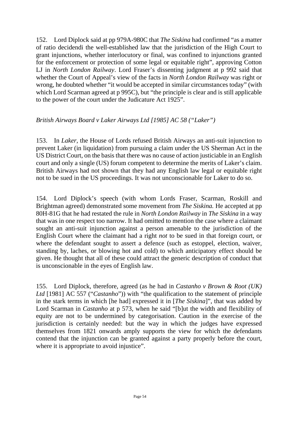152. Lord Diplock said at pp 979A-980C that *The Siskina* had confirmed "as a matter of ratio decidendi the well-established law that the jurisdiction of the High Court to grant injunctions, whether interlocutory or final, was confined to injunctions granted for the enforcement or protection of some legal or equitable right", approving Cotton LJ in *North London Railway*. Lord Fraser's dissenting judgment at p 992 said that whether the Court of Appeal's view of the facts in *North London Railway* was right or wrong, he doubted whether "it would be accepted in similar circumstances today" (with which Lord Scarman agreed at p 995C), but "the principle is clear and is still applicable to the power of the court under the Judicature Act 1925".

### *British Airways Board v Laker Airways Ltd [1985] AC 58 ("Laker")*

153. In *Laker*, the House of Lords refused British Airways an anti-suit injunction to prevent Laker (in liquidation) from pursuing a claim under the US Sherman Act in the US District Court, on the basis that there was no cause of action justiciable in an English court and only a single (US) forum competent to determine the merits of Laker's claim. British Airways had not shown that they had any English law legal or equitable right not to be sued in the US proceedings. It was not unconscionable for Laker to do so.

154. Lord Diplock's speech (with whom Lords Fraser, Scarman, Roskill and Brightman agreed) demonstrated some movement from *The Siskina.* He accepted at pp 80H-81G that he had restated the rule in *North London Railway* in *The Siskina* in a way that was in one respect too narrow. It had omitted to mention the case where a claimant sought an anti-suit injunction against a person amenable to the jurisdiction of the English Court where the claimant had a right *not* to be sued in that foreign court, or where the defendant sought to assert a defence (such as estoppel, election, waiver, standing by, laches, or blowing hot and cold) to which anticipatory effect should be given. He thought that all of these could attract the generic description of conduct that is unconscionable in the eyes of English law.

155. Lord Diplock, therefore, agreed (as he had in *Castanho v Brown & Root (UK) Ltd* [1981] AC 557 ("*Castanho*")) with "the qualification to the statement of principle in the stark terms in which [he had] expressed it in [*The Siskina*]", that was added by Lord Scarman in *Castanho* at p 573, when he said "[b]ut the width and flexibility of equity are not to be undermined by categorisation. Caution in the exercise of the jurisdiction is certainly needed: but the way in which the judges have expressed themselves from 1821 onwards amply supports the view for which the defendants contend that the injunction can be granted against a party properly before the court, where it is appropriate to avoid injustice".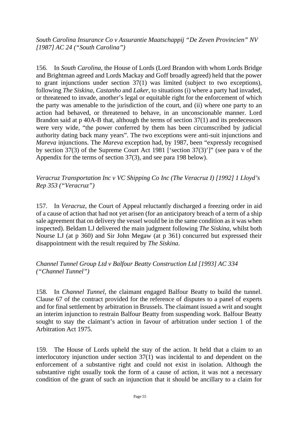*South Carolina Insurance Co v Assurantie Maatschappij "De Zeven Provincien" NV [1987] AC 24 ("South Carolina")*

156. In *South Carolina*, the House of Lords (Lord Brandon with whom Lords Bridge and Brightman agreed and Lords Mackay and Goff broadly agreed) held that the power to grant injunctions under section 37(1) was limited (subject to two exceptions), following *The Siskina*, *Castanho* and *Laker*, to situations (i) where a party had invaded, or threatened to invade, another's legal or equitable right for the enforcement of which the party was amenable to the jurisdiction of the court, and (ii) where one party to an action had behaved, or threatened to behave, in an unconscionable manner. Lord Brandon said at p 40A-B that, although the terms of section 37(1) and its predecessors were very wide, "the power conferred by them has been circumscribed by judicial authority dating back many years". The two exceptions were anti-suit injunctions and *Mareva* injunctions. The *Mareva* exception had, by 1987, been "expressly recognised by section 37(3) of the Supreme Court Act 1981 ['section 37(3)']" (see para v of the Appendix for the terms of section 37(3), and see para 198 below).

*Veracruz Transportation Inc v VC Shipping Co Inc (The Veracruz I) [1992] 1 Lloyd's Rep 353 ("Veracruz")*

157. In *Veracruz*, the Court of Appeal reluctantly discharged a freezing order in aid of a cause of action that had not yet arisen (for an anticipatory breach of a term of a ship sale agreement that on delivery the vessel would be in the same condition as it was when inspected). Beldam LJ delivered the main judgment following *The Siskina*, whilst both Nourse LJ (at p 360) and Sir John Megaw (at p 361) concurred but expressed their disappointment with the result required by *The Siskina*.

*Channel Tunnel Group Ltd v Balfour Beatty Construction Ltd [1993] AC 334 ("Channel Tunnel")*

158. In *Channel Tunnel*, the claimant engaged Balfour Beatty to build the tunnel. Clause 67 of the contract provided for the reference of disputes to a panel of experts and for final settlement by arbitration in Brussels. The claimant issued a writ and sought an interim injunction to restrain Balfour Beatty from suspending work. Balfour Beatty sought to stay the claimant's action in favour of arbitration under section 1 of the Arbitration Act 1975.

159. The House of Lords upheld the stay of the action. It held that a claim to an interlocutory injunction under section 37(1) was incidental to and dependent on the enforcement of a substantive right and could not exist in isolation. Although the substantive right usually took the form of a cause of action, it was not a necessary condition of the grant of such an injunction that it should be ancillary to a claim for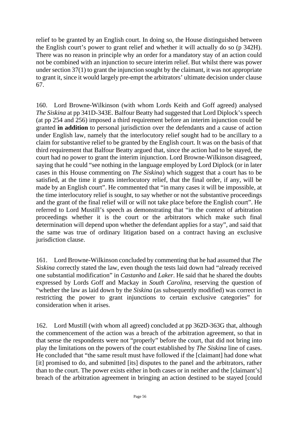relief to be granted by an English court. In doing so, the House distinguished between the English court's power to grant relief and whether it will actually do so (p 342H). There was no reason in principle why an order for a mandatory stay of an action could not be combined with an injunction to secure interim relief. But whilst there was power under section 37(1) to grant the injunction sought by the claimant, it was not appropriate to grant it, since it would largely pre-empt the arbitrators' ultimate decision under clause 67.

160. Lord Browne-Wilkinson (with whom Lords Keith and Goff agreed) analysed *The Siskina* at pp 341D-343E. Balfour Beatty had suggested that Lord Diplock's speech (at pp 254 and 256) imposed a third requirement before an interim injunction could be granted **in addition** to personal jurisdiction over the defendants and a cause of action under English law, namely that the interlocutory relief sought had to be ancillary to a claim for substantive relief to be granted by the English court. It was on the basis of that third requirement that Balfour Beatty argued that, since the action had to be stayed, the court had no power to grant the interim injunction. Lord Browne-Wilkinson disagreed, saying that he could "see nothing in the language employed by Lord Diplock (or in later cases in this House commenting on *The Siskina*) which suggest that a court has to be satisfied, at the time it grants interlocutory relief, that the final order, if any, will be made by an English court". He commented that "in many cases it will be impossible, at the time interlocutory relief is sought, to say whether or not the substantive proceedings and the grant of the final relief will or will not take place before the English court". He referred to Lord Mustill's speech as demonstrating that "in the context of arbitration proceedings whether it is the court or the arbitrators which make such final determination will depend upon whether the defendant applies for a stay", and said that the same was true of ordinary litigation based on a contract having an exclusive jurisdiction clause.

161. Lord Browne-Wilkinson concluded by commenting that he had assumed that *The Siskina* correctly stated the law, even though the tests laid down had "already received one substantial modification" in *Castanho* and *Laker*. He said that he shared the doubts expressed by Lords Goff and Mackay in *South Carolina*, reserving the question of "whether the law as laid down by the *Siskina* (as subsequently modified) was correct in restricting the power to grant injunctions to certain exclusive categories" for consideration when it arises.

162. Lord Mustill (with whom all agreed) concluded at pp 362D-363G that, although the commencement of the action was a breach of the arbitration agreement, so that in that sense the respondents were not "properly" before the court, that did not bring into play the limitations on the powers of the court established by *The Siskina* line of cases. He concluded that "the same result must have followed if the [claimant] had done what [it] promised to do, and submitted [its] disputes to the panel and the arbitrators, rather than to the court. The power exists either in both cases or in neither and the [claimant's] breach of the arbitration agreement in bringing an action destined to be stayed [could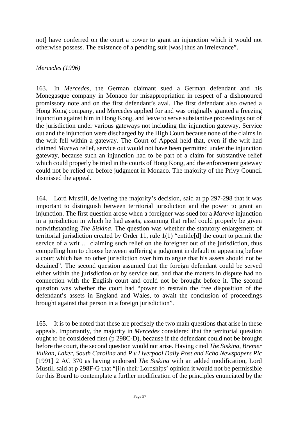not] have conferred on the court a power to grant an injunction which it would not otherwise possess. The existence of a pending suit [was] thus an irrelevance".

### *Mercedes (1996)*

163. In *Mercedes*, the German claimant sued a German defendant and his Monegasque company in Monaco for misappropriation in respect of a dishonoured promissory note and on the first defendant's aval. The first defendant also owned a Hong Kong company, and Mercedes applied for and was originally granted a freezing injunction against him in Hong Kong, and leave to serve substantive proceedings out of the jurisdiction under various gateways not including the injunction gateway. Service out and the injunction were discharged by the High Court because none of the claims in the writ fell within a gateway. The Court of Appeal held that, even if the writ had claimed *Mareva* relief, service out would not have been permitted under the injunction gateway, because such an injunction had to be part of a claim for substantive relief which could properly be tried in the courts of Hong Kong, and the enforcement gateway could not be relied on before judgment in Monaco. The majority of the Privy Council dismissed the appeal.

164. Lord Mustill, delivering the majority's decision, said at pp 297-298 that it was important to distinguish between territorial jurisdiction and the power to grant an injunction. The first question arose when a foreigner was sued for a *Mareva* injunction in a jurisdiction in which he had assets, assuming that relief could properly be given notwithstanding *The Siskina*. The question was whether the statutory enlargement of territorial jurisdiction created by Order 11, rule 1(1) "entitle[d] the court to permit the service of a writ … claiming such relief on the foreigner out of the jurisdiction, thus compelling him to choose between suffering a judgment in default or appearing before a court which has no other jurisdiction over him to argue that his assets should not be detained". The second question assumed that the foreign defendant could be served either within the jurisdiction or by service out, and that the matters in dispute had no connection with the English court and could not be brought before it. The second question was whether the court had "power to restrain the free disposition of the defendant's assets in England and Wales, to await the conclusion of proceedings brought against that person in a foreign jurisdiction".

165. It is to be noted that these are precisely the two main questions that arise in these appeals. Importantly, the majority in *Mercedes* considered that the territorial question ought to be considered first (p 298C-D), because if the defendant could not be brought before the court, the second question would not arise. Having cited *The Siskina*, *Bremer Vulkan, Laker*, *South Carolina* and *P v Liverpool Daily Post and Echo Newspapers Plc* [1991] 2 AC 370 as having endorsed *The Siskina* with an added modification, Lord Mustill said at p 298F-G that "[i]n their Lordships' opinion it would not be permissible for this Board to contemplate a further modification of the principles enunciated by the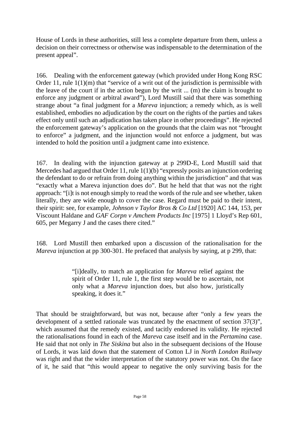House of Lords in these authorities, still less a complete departure from them, unless a decision on their correctness or otherwise was indispensable to the determination of the present appeal".

166. Dealing with the enforcement gateway (which provided under Hong Kong RSC Order 11, rule  $1(1)(m)$  that "service of a writ out of the jurisdiction is permissible with the leave of the court if in the action begun by the writ ... (m) the claim is brought to enforce any judgment or arbitral award"), Lord Mustill said that there was something strange about "a final judgment for a *Mareva* injunction; a remedy which, as is well established, embodies no adjudication by the court on the rights of the parties and takes effect only until such an adjudication has taken place in other proceedings". He rejected the enforcement gateway's application on the grounds that the claim was not "brought to enforce" a judgment, and the injunction would not enforce a judgment, but was intended to hold the position until a judgment came into existence.

167. In dealing with the injunction gateway at p 299D-E, Lord Mustill said that Mercedes had argued that Order 11, rule 1(1)(b) "expressly posits an injunction ordering the defendant to do or refrain from doing anything within the jurisdiction" and that was "exactly what a Mareva injunction does do". But he held that that was not the right approach: "[i]t is not enough simply to read the words of the rule and see whether, taken literally, they are wide enough to cover the case. Regard must be paid to their intent, their spirit: see, for example, *Johnson v Taylor Bros & Co Ltd* [1920] AC 144, 153, per Viscount Haldane and *GAF Corpn v Amchem Products Inc* [1975] 1 Lloyd's Rep 601, 605, per Megarry J and the cases there cited."

168. Lord Mustill then embarked upon a discussion of the rationalisation for the *Mareva* injunction at pp 300-301. He prefaced that analysis by saying, at p 299, that:

> "[i]deally, to match an application for *Mareva* relief against the spirit of Order 11, rule 1, the first step would be to ascertain, not only what a *Mareva* injunction does, but also how, juristically speaking, it does it."

That should be straightforward, but was not, because after "only a few years the development of a settled rationale was truncated by the enactment of section 37(3)", which assumed that the remedy existed, and tacitly endorsed its validity. He rejected the rationalisations found in each of the *Mareva* case itself and in the *Pertamina* case. He said that not only in *The Siskina* but also in the subsequent decisions of the House of Lords, it was laid down that the statement of Cotton LJ in *North London Railway* was right and that the wider interpretation of the statutory power was not. On the face of it, he said that "this would appear to negative the only surviving basis for the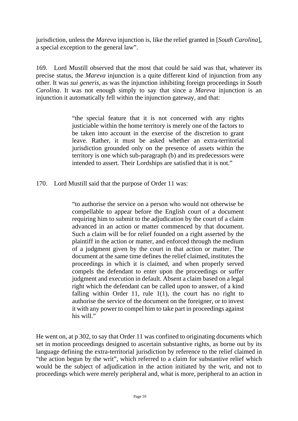jurisdiction, unless the *Mareva* injunction is, like the relief granted in [*South Carolina*], a special exception to the general law".

169. Lord Mustill observed that the most that could be said was that, whatever its precise status, the *Mareva* injunction is a quite different kind of injunction from any other. It was *sui generis*, as was the injunction inhibiting foreign proceedings in *South Carolina*. It was not enough simply to say that since a *Mareva* injunction is an injunction it automatically fell within the injunction gateway, and that:

> "the special feature that it is not concerned with any rights justiciable within the home territory is merely one of the factors to be taken into account in the exercise of the discretion to grant leave. Rather, it must be asked whether an extra-territorial jurisdiction grounded only on the presence of assets within the territory is one which sub-paragraph (b) and its predecessors were intended to assert. Their Lordships are satisfied that it is not."

170. Lord Mustill said that the purpose of Order 11 was:

"to authorise the service on a person who would not otherwise be compellable to appear before the English court of a document requiring him to submit to the adjudication by the court of a claim advanced in an action or matter commenced by that document. Such a claim will be for relief founded on a right asserted by the plaintiff in the action or matter, and enforced through the medium of a judgment given by the court in that action or matter. The document at the same time defines the relief claimed, institutes the proceedings in which it is claimed, and when properly served compels the defendant to enter upon the proceedings or suffer judgment and execution in default. Absent a claim based on a legal right which the defendant can be called upon to answer, of a kind falling within Order 11, rule 1(1), the court has no right to authorise the service of the document on the foreigner, or to invest it with any power to compel him to take part in proceedings against his will."

He went on, at p 302, to say that Order 11 was confined to originating documents which set in motion proceedings designed to ascertain substantive rights, as borne out by its language defining the extra-territorial jurisdiction by reference to the relief claimed in "the action begun by the writ", which referred to a claim for substantive relief which would be the subject of adjudication in the action initiated by the writ, and not to proceedings which were merely peripheral and, what is more, peripheral to an action in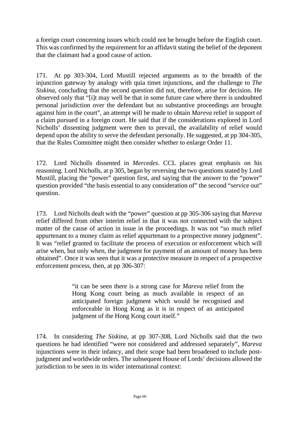a foreign court concerning issues which could not be brought before the English court. This was confirmed by the requirement for an affidavit stating the belief of the deponent that the claimant had a good cause of action.

171. At pp 303-304, Lord Mustill rejected arguments as to the breadth of the injunction gateway by analogy with quia timet injunctions, and the challenge to *The Siskina*, concluding that the second question did not, therefore, arise for decision. He observed only that "[i]t may well be that in some future case where there is undoubted personal jurisdiction over the defendant but no substantive proceedings are brought against him in the court", an attempt will be made to obtain *Mareva* relief in support of a claim pursued in a foreign court. He said that if the considerations explored in Lord Nicholls' dissenting judgment were then to prevail, the availability of relief would depend upon the ability to serve the defendant personally. He suggested, at pp 304-305, that the Rules Committee might then consider whether to enlarge Order 11.

172. Lord Nicholls dissented in *Mercedes*. CCL places great emphasis on his reasoning. Lord Nicholls, at p 305, began by reversing the two questions stated by Lord Mustill, placing the "power" question first, and saying that the answer to the "power" question provided "the basis essential to any consideration of" the second "service out" question.

173. Lord Nicholls dealt with the "power" question at pp 305-306 saying that *Mareva* relief differed from other interim relief in that it was not connected with the subject matter of the cause of action in issue in the proceedings. It was not "so much relief appurtenant to a money claim as relief appurtenant to a prospective money judgment". It was "relief granted to facilitate the process of execution or enforcement which will arise when, but only when, the judgment for payment of an amount of money has been obtained". Once it was seen that it was a protective measure in respect of a prospective enforcement process, then, at pp 306-307:

> "it can be seen there is a strong case for *Mareva* relief from the Hong Kong court being as much available in respect of an anticipated foreign judgment which would be recognised and enforceable in Hong Kong as it is in respect of an anticipated judgment of the Hong Kong court itself."

174. In considering *The Siskina*, at pp 307-308, Lord Nicholls said that the two questions he had identified "were not considered and addressed separately", *Mareva* injunctions were in their infancy, and their scope had been broadened to include postjudgment and worldwide orders. The subsequent House of Lords' decisions allowed the jurisdiction to be seen in its wider international context: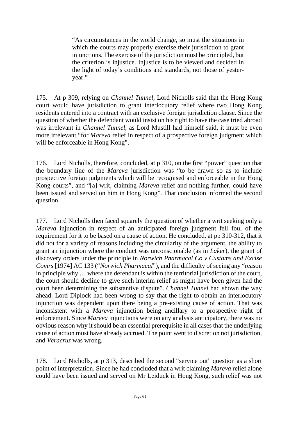"As circumstances in the world change, so must the situations in which the courts may properly exercise their jurisdiction to grant injunctions. The exercise of the jurisdiction must be principled, but the criterion is injustice. Injustice is to be viewed and decided in the light of today's conditions and standards, not those of yesteryear."

175. At p 309, relying on *Channel Tunnel*, Lord Nicholls said that the Hong Kong court would have jurisdiction to grant interlocutory relief where two Hong Kong residents entered into a contract with an exclusive foreign jurisdiction clause. Since the question of whether the defendant would insist on his right to have the case tried abroad was irrelevant in *Channel Tunnel*, as Lord Mustill had himself said, it must be even more irrelevant "for *Mareva* relief in respect of a prospective foreign judgment which will be enforceable in Hong Kong".

176. Lord Nicholls, therefore, concluded, at p 310, on the first "power" question that the boundary line of the *Mareva* jurisdiction was "to be drawn so as to include prospective foreign judgments which will be recognised and enforceable in the Hong Kong courts", and "[a] writ, claiming *Mareva* relief and nothing further, could have been issued and served on him in Hong Kong". That conclusion informed the second question.

177. Lord Nicholls then faced squarely the question of whether a writ seeking only a *Mareva* injunction in respect of an anticipated foreign judgment fell foul of the requirement for it to be based on a cause of action. He concluded, at pp 310-312, that it did not for a variety of reasons including the circularity of the argument, the ability to grant an injunction where the conduct was unconscionable (as in *Laker*), the grant of discovery orders under the principle in *Norwich Pharmacal Co v Customs and Excise Comrs* [1974] AC 133 ("*Norwich Pharmacal*"), and the difficulty of seeing any "reason in principle why … where the defendant is within the territorial jurisdiction of the court, the court should decline to give such interim relief as might have been given had the court been determining the substantive dispute". *Channel Tunnel* had shown the way ahead. Lord Diplock had been wrong to say that the right to obtain an interlocutory injunction was dependent upon there being a pre-existing cause of action. That was inconsistent with a *Mareva* injunction being ancillary to a prospective right of enforcement. Since *Mareva* injunctions were on any analysis anticipatory, there was no obvious reason why it should be an essential prerequisite in all cases that the underlying cause of action must have already accrued. The point went to discretion not jurisdiction, and *Veracruz* was wrong.

178. Lord Nicholls, at p 313, described the second "service out" question as a short point of interpretation. Since he had concluded that a writ claiming *Mareva* relief alone could have been issued and served on Mr Leiduck in Hong Kong, such relief was not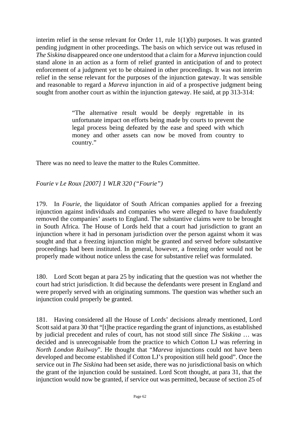interim relief in the sense relevant for Order 11, rule 1(1)(b) purposes. It was granted pending judgment in other proceedings. The basis on which service out was refused in *The Siskina* disappeared once one understood that a claim for a *Mareva* injunction could stand alone in an action as a form of relief granted in anticipation of and to protect enforcement of a judgment yet to be obtained in other proceedings. It was not interim relief in the sense relevant for the purposes of the injunction gateway. It was sensible and reasonable to regard a *Mareva* injunction in aid of a prospective judgment being sought from another court as within the injunction gateway. He said, at pp 313-314:

> "The alternative result would be deeply regrettable in its unfortunate impact on efforts being made by courts to prevent the legal process being defeated by the ease and speed with which money and other assets can now be moved from country to country."

There was no need to leave the matter to the Rules Committee.

# *Fourie v Le Roux [2007] 1 WLR 320 ("Fourie")*

179. In *Fourie*, the liquidator of South African companies applied for a freezing injunction against individuals and companies who were alleged to have fraudulently removed the companies' assets to England. The substantive claims were to be brought in South Africa. The House of Lords held that a court had jurisdiction to grant an injunction where it had in personam jurisdiction over the person against whom it was sought and that a freezing injunction might be granted and served before substantive proceedings had been instituted. In general, however, a freezing order would not be properly made without notice unless the case for substantive relief was formulated.

180. Lord Scott began at para 25 by indicating that the question was not whether the court had strict jurisdiction. It did because the defendants were present in England and were properly served with an originating summons. The question was whether such an injunction could properly be granted.

181. Having considered all the House of Lords' decisions already mentioned, Lord Scott said at para 30 that "[t]he practice regarding the grant of injunctions, as established by judicial precedent and rules of court, has not stood still since *The Siskina* … was decided and is unrecognisable from the practice to which Cotton LJ was referring in *North London Railway*". He thought that "*Mareva* injunctions could not have been developed and become established if Cotton LJ's proposition still held good". Once the service out in *[The Siskina](http://uk.westlaw.com/Document/I15178A60E42811DA8FC2A0F0355337E9/View/FullText.html?originationContext=document&transitionType=DocumentItem&vr=3.0&rs=PLUK1.0&contextData=(sc.Default))* had been set aside, there was no jurisdictional basis on which the grant of the injunction could be sustained. Lord Scott thought, at para 31, that the injunction would now be granted, if service out was permitted, because of section 25 of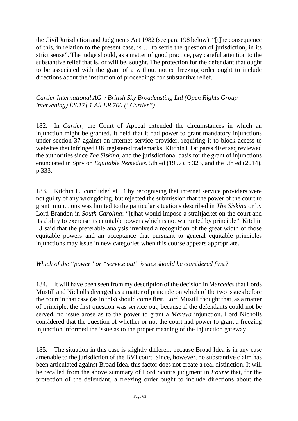the Civil Jurisdiction and Judgments Act 1982 (see para 198 below): "[t]he consequence of this, in relation to the present case, is … to settle the question of jurisdiction, in its strict sense". The judge should, as a matter of good practice, pay careful attention to the substantive relief that is, or will be, sought. The protection for the defendant that ought to be associated with the grant of a without notice freezing order ought to include directions about the institution of proceedings for substantive relief.

*Cartier International AG v British Sky Broadcasting Ltd (Open Rights Group intervening) [2017] 1 All ER 700 ("Cartier")*

182. In *Cartier*, the Court of Appeal extended the circumstances in which an injunction might be granted. It held that it had power to grant mandatory injunctions under section 37 against an internet service provider, requiring it to block access to websites that infringed UK registered trademarks. Kitchin LJ at paras 40 et seq reviewed the authorities since *The Siskina*, and the jurisdictional basis for the grant of injunctions enunciated in Spry on *Equitable Remedies*, 5th ed (1997), p 323, and the 9th ed (2014), p 333.

183. Kitchin LJ concluded at 54 by recognising that internet service providers were not guilty of any wrongdoing, but rejected the submission that the power of the court to grant injunctions was limited to the particular situations described in *The Siskina* or by Lord Brandon in *South Carolina*: "[t]hat would impose a straitjacket on the court and its ability to exercise its equitable powers which is not warranted by principle". Kitchin LJ said that the preferable analysis involved a recognition of the great width of those equitable powers and an acceptance that pursuant to general equitable principles injunctions may issue in new categories when this course appears appropriate.

# *Which of the "power" or "service out" issues should be considered first?*

184. It will have been seen from my description of the decision in *Mercedes*that Lords Mustill and Nicholls diverged as a matter of principle on which of the two issues before the court in that case (as in this) should come first. Lord Mustill thought that, as a matter of principle, the first question was service out, because if the defendants could not be served, no issue arose as to the power to grant a *Mareva* injunction. Lord Nicholls considered that the question of whether or not the court had power to grant a freezing injunction informed the issue as to the proper meaning of the injunction gateway.

185. The situation in this case is slightly different because Broad Idea is in any case amenable to the jurisdiction of the BVI court. Since, however, no substantive claim has been articulated against Broad Idea, this factor does not create a real distinction. It will be recalled from the above summary of Lord Scott's judgment in *Fourie* that, for the protection of the defendant, a freezing order ought to include directions about the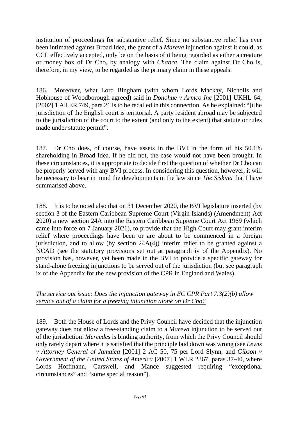institution of proceedings for substantive relief. Since no substantive relief has ever been intimated against Broad Idea, the grant of a *Mareva* injunction against it could, as CCL effectively accepted, only be on the basis of it being regarded as either a creature or money box of Dr Cho, by analogy with *Chabra*. The claim against Dr Cho is, therefore, in my view, to be regarded as the primary claim in these appeals.

186. Moreover, what Lord Bingham (with whom Lords Mackay, Nicholls and Hobhouse of Woodborough agreed) said in *Donohue v Armco Inc* [2001] UKHL 64; [2002] 1 All ER 749, para 21 is to be recalled in this connection. As he explained: "[t]he jurisdiction of the English court is territorial. A party resident abroad may be subjected to the jurisdiction of the court to the extent (and only to the extent) that statute or rules made under statute permit".

187. Dr Cho does, of course, have assets in the BVI in the form of his 50.1% shareholding in Broad Idea. If he did not, the case would not have been brought. In these circumstances, it is appropriate to decide first the question of whether Dr Cho can be properly served with any BVI process. In considering this question, however, it will be necessary to bear in mind the developments in the law since *The Siskina* that I have summarised above.

188. It is to be noted also that on 31 December 2020, the BVI legislature inserted (by section 3 of the Eastern Caribbean Supreme Court (Virgin Islands) (Amendment) Act 2020) a new section 24A into the Eastern Caribbean Supreme Court Act 1969 (which came into force on 7 January 2021), to provide that the High Court may grant interim relief where proceedings have been or are about to be commenced in a foreign jurisdiction, and to allow (by section 24A(4)) interim relief to be granted against a NCAD (see the statutory provisions set out at paragraph iv of the Appendix). No provision has, however, yet been made in the BVI to provide a specific gateway for stand-alone freezing injunctions to be served out of the jurisdiction (but see paragraph ix of the Appendix for the new provision of the CPR in England and Wales).

### *The service out issue: Does the injunction gateway in EC CPR Part 7.3(2)(b) allow service out of a claim for a freezing injunction alone on Dr Cho?*

189. Both the House of Lords and the Privy Council have decided that the injunction gateway does not allow a free-standing claim to a *Mareva* injunction to be served out of the jurisdiction. *Mercedes* is binding authority, from which the Privy Council should only rarely depart where it is satisfied that the principle laid down was wrong (see *Lewis v Attorney General of Jamaica* [2001] 2 AC 50, 75 per Lord Slynn, and *Gibson v Government of the United States of America* [2007] 1 WLR 2367, paras 37-40, where Lords Hoffmann, Carswell, and Mance suggested requiring "exceptional circumstances" and "some special reason").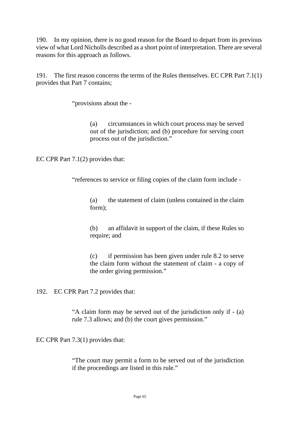190. In my opinion, there is no good reason for the Board to depart from its previous view of what Lord Nicholls described as a short point of interpretation. There are several reasons for this approach as follows.

191. The first reason concerns the terms of the Rules themselves. EC CPR Part 7.1(1) provides that Part 7 contains;

"provisions about the -

(a) circumstances in which court process may be served out of the jurisdiction; and (b) procedure for serving court process out of the jurisdiction."

EC CPR Part 7.1(2) provides that:

"references to service or filing copies of the claim form include -

(a) the statement of claim (unless contained in the claim form);

(b) an affidavit in support of the claim, if these Rules so require; and

(c) if permission has been given under rule 8.2 to serve the claim form without the statement of claim - a copy of the order giving permission."

192. EC CPR Part 7.2 provides that:

"A claim form may be served out of the jurisdiction only if - (a) rule 7.3 allows; and (b) the court gives permission."

EC CPR Part 7.3(1) provides that:

"The court may permit a form to be served out of the jurisdiction if the proceedings are listed in this rule."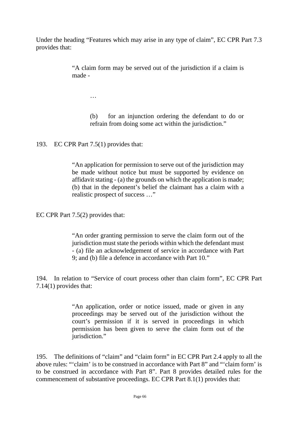Under the heading "Features which may arise in any type of claim", EC CPR Part 7.3 provides that:

> "A claim form may be served out of the jurisdiction if a claim is made -

> > …

(b) for an injunction ordering the defendant to do or refrain from doing some act within the jurisdiction."

193. EC CPR Part 7.5(1) provides that:

"An application for permission to serve out of the jurisdiction may be made without notice but must be supported by evidence on affidavit stating - (a) the grounds on which the application is made; (b) that in the deponent's belief the claimant has a claim with a realistic prospect of success …"

EC CPR Part 7.5(2) provides that:

"An order granting permission to serve the claim form out of the jurisdiction must state the periods within which the defendant must - (a) file an acknowledgement of service in accordance with Part 9; and (b) file a defence in accordance with Part 10."

194. In relation to "Service of court process other than claim form", EC CPR Part 7.14(1) provides that:

> "An application, order or notice issued, made or given in any proceedings may be served out of the jurisdiction without the court's permission if it is served in proceedings in which permission has been given to serve the claim form out of the iurisdiction."

195. The definitions of "claim" and "claim form" in EC CPR Part 2.4 apply to all the above rules: "'claim' is to be construed in accordance with Part 8" and "'claim form' is to be construed in accordance with Part 8". Part 8 provides detailed rules for the commencement of substantive proceedings. EC CPR Part 8.1(1) provides that: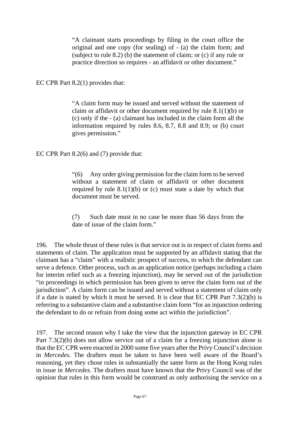"A claimant starts proceedings by filing in the court office the original and one copy (for sealing) of - (a) the claim form; and (subject to rule 8.2) (b) the statement of claim; or  $(c)$  if any rule or practice direction so requires - an affidavit or other document."

EC CPR Part 8.2(1) provides that:

"A claim form may be issued and served without the statement of claim or affidavit or other document required by rule 8.1(1)(b) or (c) only if the - (a) claimant has included in the claim form all the information required by rules 8.6, 8.7, 8.8 and 8.9; or (b) court gives permission."

EC CPR Part 8.2(6) and (7) provide that:

"(6) Any order giving permission for the claim form to be served without a statement of claim or affidavit or other document required by rule  $8.1(1)(b)$  or (c) must state a date by which that document must be served.

(7) Such date must in no case be more than 56 days from the date of issue of the claim form."

196. The whole thrust of these rules is that service out is in respect of claim forms and statements of claim. The application must be supported by an affidavit stating that the claimant has a "claim" with a realistic prospect of success, to which the defendant can serve a defence. Other process, such as an application notice (perhaps including a claim for interim relief such as a freezing injunction), may be served out of the jurisdiction "in proceedings in which permission has been given to serve the claim form out of the jurisdiction". A claim form can be issued and served without a statement of claim only if a date is stated by which it must be served. It is clear that EC CPR Part 7.3(2)(b) is referring to a substantive claim and a substantive claim form "for an injunction ordering the defendant to do or refrain from doing some act within the jurisdiction".

197. The second reason why I take the view that the injunction gateway in EC CPR Part 7.3(2)(b) does not allow service out of a claim for a freezing injunction alone is that the EC CPR were enacted in 2000 some five years after the Privy Council's decision in *Mercedes*. The drafters must be taken to have been well aware of the Board's reasoning, yet they chose rules in substantially the same form as the Hong Kong rules in issue in *Mercedes*. The drafters must have known that the Privy Council was of the opinion that rules in this form would be construed as only authorising the service on a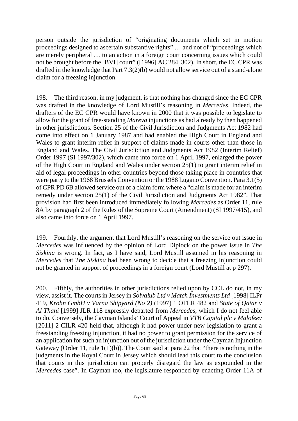person outside the jurisdiction of "originating documents which set in motion proceedings designed to ascertain substantive rights" … and not of "proceedings which are merely peripheral … to an action in a foreign court concerning issues which could not be brought before the [BVI] court" ([1996] AC 284, 302). In short, the EC CPR was drafted in the knowledge that Part 7.3(2)(b) would not allow service out of a stand-alone claim for a freezing injunction.

198. The third reason, in my judgment, is that nothing has changed since the EC CPR was drafted in the knowledge of Lord Mustill's reasoning in *Mercedes*. Indeed, the drafters of the EC CPR would have known in 2000 that it was possible to legislate to allow for the grant of free-standing *Mareva* injunctions as had already by then happened in other jurisdictions. Section 25 of the Civil Jurisdiction and Judgments Act 1982 had come into effect on 1 January 1987 and had enabled the High Court in England and Wales to grant interim relief in support of claims made in courts other than those in England and Wales. The Civil Jurisdiction and Judgments Act 1982 (Interim Relief) Order 1997 (SI 1997/302), which came into force on 1 April 1997, enlarged the power of the High Court in England and Wales under section 25(1) to grant interim relief in aid of legal proceedings in other countries beyond those taking place in countries that were party to the 1968 Brussels Convention or the 1988 Lugano Convention. Para 3.1(5) of CPR PD 6B allowed service out of a claim form where a "claim is made for an interim remedy under section 25(1) of the Civil Jurisdiction and Judgments Act 1982". That provision had first been introduced immediately following *Mercedes* as Order 11, rule 8A by paragraph 2 of the Rules of the Supreme Court (Amendment) (SI 1997/415), and also came into force on 1 April 1997.

199. Fourthly, the argument that Lord Mustill's reasoning on the service out issue in *Mercedes* was influenced by the opinion of Lord Diplock on the power issue in *The Siskina* is wrong. In fact, as I have said, Lord Mustill assumed in his reasoning in *Mercedes* that *The Siskina* had been wrong to decide that a freezing injunction could not be granted in support of proceedings in a foreign court (Lord Mustill at p 297).

200. Fifthly, the authorities in other jurisdictions relied upon by CCL do not, in my view, assist it. The courts in Jersey in *Solvalub Ltd v Match Investments Ltd* [1998] ILPr 419, *Krohn GmbH v Varna Shipyard (No 2)* (1997) 1 OFLR 482 and *State of Qatar v Al Thani* [1999] JLR 118 expressly departed from *Mercedes*, which I do not feel able to do. Conversely, the Cayman Islands' Court of Appeal in *VTB Capital plc v Malofeev* [2011] 2 CILR 420 held that, although it had power under new legislation to grant a freestanding freezing injunction, it had no power to grant permission for the service of an application for such an injunction out of the jurisdiction under the Cayman Injunction Gateway (Order 11, rule 1(1)(b)). The Court said at para 22 that "there is nothing in the judgments in the Royal Court in Jersey which should lead this court to the conclusion that courts in this jurisdiction can properly disregard the law as expounded in the *Mercedes* case". In Cayman too, the legislature responded by enacting Order 11A of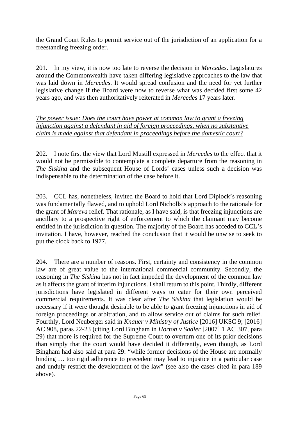the Grand Court Rules to permit service out of the jurisdiction of an application for a freestanding freezing order.

201. In my view, it is now too late to reverse the decision in *Mercedes*. Legislatures around the Commonwealth have taken differing legislative approaches to the law that was laid down in *Mercedes*. It would spread confusion and the need for yet further legislative change if the Board were now to reverse what was decided first some 42 years ago, and was then authoritatively reiterated in *Mercedes* 17 years later.

*The power issue: Does the court have power at common law to grant a freezing injunction against a defendant in aid of foreign proceedings, when no substantive claim is made against that defendant in proceedings before the domestic court?*

202. I note first the view that Lord Mustill expressed in *Mercedes* to the effect that it would not be permissible to contemplate a complete departure from the reasoning in *The Siskina* and the subsequent House of Lords' cases unless such a decision was indispensable to the determination of the case before it.

203. CCL has, nonetheless, invited the Board to hold that Lord Diplock's reasoning was fundamentally flawed, and to uphold Lord Nicholls's approach to the rationale for the grant of *Mareva* relief. That rationale, as I have said, is that freezing injunctions are ancillary to a prospective right of enforcement to which the claimant may become entitled in the jurisdiction in question. The majority of the Board has acceded to CCL's invitation. I have, however, reached the conclusion that it would be unwise to seek to put the clock back to 1977.

204. There are a number of reasons. First, certainty and consistency in the common law are of great value to the international commercial community. Secondly, the reasoning in *The Siskina* has not in fact impeded the development of the common law as it affects the grant of interim injunctions. I shall return to this point. Thirdly, different jurisdictions have legislated in different ways to cater for their own perceived commercial requirements. It was clear after *The Siskina* that legislation would be necessary if it were thought desirable to be able to grant freezing injunctions in aid of foreign proceedings or arbitration, and to allow service out of claims for such relief. Fourthly, Lord Neuberger said in *Knauer v Ministry of Justice* [2016] UKSC 9; [2016] AC 908, paras 22-23 (citing Lord Bingham in *Horton v Sadler* [2007] 1 AC 307, para 29) that more is required for the Supreme Court to overturn one of its prior decisions than simply that the court would have decided it differently, even though, as Lord Bingham had also said at para 29: "while former decisions of the House are normally binding … too rigid adherence to precedent may lead to injustice in a particular case and unduly restrict the development of the law" (see also the cases cited in para 189 above).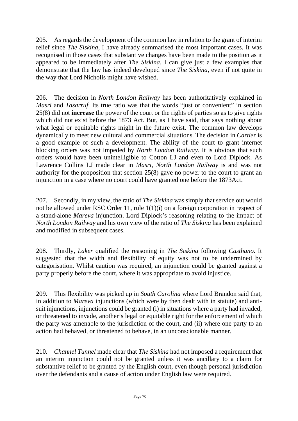205. As regards the development of the common law in relation to the grant of interim relief since *The Siskina*, I have already summarised the most important cases. It was recognised in those cases that substantive changes have been made to the position as it appeared to be immediately after *The Siskina*. I can give just a few examples that demonstrate that the law has indeed developed since *The Siskina*, even if not quite in the way that Lord Nicholls might have wished.

206. The decision in *North London Railway* has been authoritatively explained in *Masri* and *Tasarruf*. Its true ratio was that the words "just or convenient" in section 25(8) did not **increase** the power of the court or the rights of parties so as to give rights which did not exist before the 1873 Act. But, as I have said, that says nothing about what legal or equitable rights might in the future exist. The common law develops dynamically to meet new cultural and commercial situations. The decision in *Cartier* is a good example of such a development. The ability of the court to grant internet blocking orders was not impeded by *North London Railway*. It is obvious that such orders would have been unintelligible to Cotton LJ and even to Lord Diplock. As Lawrence Collins LJ made clear in *Masri*, *North London Railway* is and was not authority for the proposition that section 25(8) gave no power to the court to grant an injunction in a case where no court could have granted one before the 1873Act.

207. Secondly, in my view, the ratio of *The Siskina* was simply that service out would not be allowed under RSC Order 11, rule 1(1)(i) on a foreign corporation in respect of a stand-alone *Mareva* injunction. Lord Diplock's reasoning relating to the impact of *North London Railway* and his own view of the ratio of *The Siskina* has been explained and modified in subsequent cases.

208. Thirdly, *Laker* qualified the reasoning in *The Siskina* following *Casthano*. It suggested that the width and flexibility of equity was not to be undermined by categorisation. Whilst caution was required, an injunction could be granted against a party properly before the court, where it was appropriate to avoid injustice.

209. This flexibility was picked up in *South Carolina* where Lord Brandon said that, in addition to *Mareva* injunctions (which were by then dealt with in statute) and antisuit injunctions, injunctions could be granted (i) in situations where a party had invaded, or threatened to invade, another's legal or equitable right for the enforcement of which the party was amenable to the jurisdiction of the court, and (ii) where one party to an action had behaved, or threatened to behave, in an unconscionable manner.

210. *Channel Tunnel* made clear that *The Siskina* had not imposed a requirement that an interim injunction could not be granted unless it was ancillary to a claim for substantive relief to be granted by the English court, even though personal jurisdiction over the defendants and a cause of action under English law were required.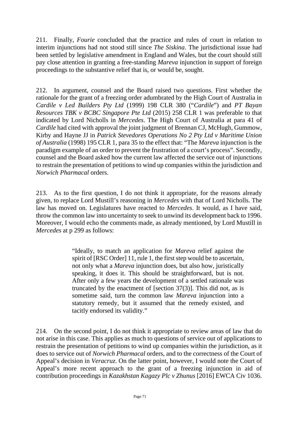211. Finally, *Fourie* concluded that the practice and rules of court in relation to interim injunctions had not stood still since *The Siskina*. The jurisdictional issue had been settled by legislative amendment in England and Wales, but the court should still pay close attention in granting a free-standing *Mareva* injunction in support of foreign proceedings to the substantive relief that is, or would be, sought.

212. In argument, counsel and the Board raised two questions. First whether the rationale for the grant of a freezing order adumbrated by the High Court of Australia in *Cardile v Led Builders Pty Ltd* (1999) 198 CLR 380 ("*Cardile*") and *PT Bayan Resources TBK v BCBC Singapore Pte Ltd* (2015) 258 CLR 1 was preferable to that indicated by Lord Nicholls in *Mercedes*. The High Court of Australia at para 41 of *Cardile* had cited with approval the joint judgment of Brennan CJ, McHugh, Gummow, Kirby and Hayne JJ in *Patrick Stevedores Operations No 2 Pty Ltd v Maritime Union of Australia* (1998) 195 CLR 1, para 35 to the effect that: "The *Mareva* injunction is the paradigm example of an order to prevent the frustration of a court's process". Secondly, counsel and the Board asked how the current law affected the service out of injunctions to restrain the presentation of petitions to wind up companies within the jurisdiction and *Norwich Pharmacal* orders.

213. As to the first question, I do not think it appropriate, for the reasons already given, to replace Lord Mustill's reasoning in *Mercedes* with that of Lord Nicholls. The law has moved on. Legislatures have reacted to *Mercedes*. It would, as I have said, throw the common law into uncertainty to seek to unwind its development back to 1996. Moreover, I would echo the comments made, as already mentioned, by Lord Mustill in *Mercedes* at p 299 as follows:

> "Ideally, to match an application for *Mareva* relief against the spirit of [RSC Order] 11, rule 1, the first step would be to ascertain, not only what a *Mareva* injunction does, but also how, juristically speaking, it does it. This should be straightforward, but is not. After only a few years the development of a settled rationale was truncated by the enactment of [section 37(3)]. This did not, as is sometime said, turn the common law *Mareva* injunction into a statutory remedy, but it assumed that the remedy existed, and tacitly endorsed its validity."

214. On the second point, I do not think it appropriate to review areas of law that do not arise in this case. This applies as much to questions of service out of applications to restrain the presentation of petitions to wind up companies within the jurisdiction, as it does to service out of *Norwich Pharmacal* orders, and to the correctness of the Court of Appeal's decision in *Veracruz*. On the latter point, however, I would note the Court of Appeal's more recent approach to the grant of a freezing injunction in aid of contribution proceedings in *Kazakhstan Kagazy Plc v Zhunus* [2016] EWCA Civ 1036.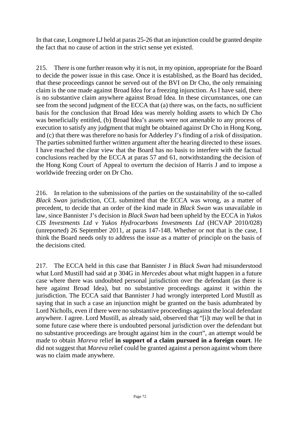In that case, Longmore LJ held at paras 25-26 that an injunction could be granted despite the fact that no cause of action in the strict sense yet existed.

215. There is one further reason why it is not, in my opinion, appropriate for the Board to decide the power issue in this case. Once it is established, as the Board has decided, that these proceedings cannot be served out of the BVI on Dr Cho, the only remaining claim is the one made against Broad Idea for a freezing injunction. As I have said, there is no substantive claim anywhere against Broad Idea. In these circumstances, one can see from the second judgment of the ECCA that (a) there was, on the facts, no sufficient basis for the conclusion that Broad Idea was merely holding assets to which Dr Cho was beneficially entitled, (b) Broad Idea's assets were not amenable to any process of execution to satisfy any judgment that might be obtained against Dr Cho in Hong Kong, and (c) that there was therefore no basis for Adderley J's finding of a risk of dissipation. The parties submitted further written argument after the hearing directed to these issues. I have reached the clear view that the Board has no basis to interfere with the factual conclusions reached by the ECCA at paras 57 and 61, notwithstanding the decision of the Hong Kong Court of Appeal to overturn the decision of Harris J and to impose a worldwide freezing order on Dr Cho.

216. In relation to the submissions of the parties on the sustainability of the so-called *Black Swan* jurisdiction, CCL submitted that the ECCA was wrong, as a matter of precedent, to decide that an order of the kind made in *Black Swan* was unavailable in law, since Bannister J's decision in *Black Swan* had been upheld by the ECCA in *Yukos CIS Investments Ltd v Yukos Hydrocarbons Investments Ltd* (HCVAP 2010/028) (unreported) 26 September 2011, at paras 147-148. Whether or not that is the case, I think the Board needs only to address the issue as a matter of principle on the basis of the decisions cited.

217. The ECCA held in this case that Bannister J in *Black Swan* had misunderstood what Lord Mustill had said at p 304G in *Mercedes* about what might happen in a future case where there was undoubted personal jurisdiction over the defendant (as there is here against Broad Idea), but no substantive proceedings against it within the jurisdiction. The ECCA said that Bannister J had wrongly interpreted Lord Mustill as saying that in such a case an injunction might be granted on the basis adumbrated by Lord Nicholls, even if there were no substantive proceedings against the local defendant anywhere. I agree. Lord Mustill, as already said, observed that "[i]t may well be that in some future case where there is undoubted personal jurisdiction over the defendant but no substantive proceedings are brought against him in the court", an attempt would be made to obtain *Mareva* relief **in support of a claim pursued in a foreign court**. He did not suggest that *Mareva* relief could be granted against a person against whom there was no claim made anywhere.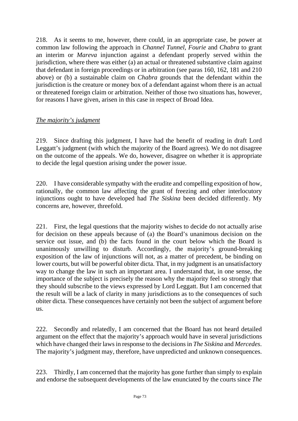218. As it seems to me, however, there could, in an appropriate case, be power at common law following the approach in *Channel Tunnel*, *Fourie* and *Chabra* to grant an interim or *Mareva* injunction against a defendant properly served within the jurisdiction, where there was either (a) an actual or threatened substantive claim against that defendant in foreign proceedings or in arbitration (see paras 160, 162, 181 and 210 above) or (b) a sustainable claim on *Chabra* grounds that the defendant within the jurisdiction is the creature or money box of a defendant against whom there is an actual or threatened foreign claim or arbitration. Neither of those two situations has, however, for reasons I have given, arisen in this case in respect of Broad Idea.

# *The majority's judgment*

219. Since drafting this judgment, I have had the benefit of reading in draft Lord Leggatt's judgment (with which the majority of the Board agrees). We do not disagree on the outcome of the appeals. We do, however, disagree on whether it is appropriate to decide the legal question arising under the power issue.

220. I have considerable sympathy with the erudite and compelling exposition of how, rationally, the common law affecting the grant of freezing and other interlocutory injunctions ought to have developed had *The Siskina* been decided differently. My concerns are, however, threefold.

221. First, the legal questions that the majority wishes to decide do not actually arise for decision on these appeals because of (a) the Board's unanimous decision on the service out issue, and (b) the facts found in the court below which the Board is unanimously unwilling to disturb. Accordingly, the majority's ground-breaking exposition of the law of injunctions will not, as a matter of precedent, be binding on lower courts, but will be powerful obiter dicta. That, in my judgment is an unsatisfactory way to change the law in such an important area. I understand that, in one sense, the importance of the subject is precisely the reason why the majority feel so strongly that they should subscribe to the views expressed by Lord Leggatt. But I am concerned that the result will be a lack of clarity in many jurisdictions as to the consequences of such obiter dicta. These consequences have certainly not been the subject of argument before us.

222. Secondly and relatedly, I am concerned that the Board has not heard detailed argument on the effect that the majority's approach would have in several jurisdictions which have changed their laws in response to the decisions in *The Siskina* and *Mercedes*. The majority's judgment may, therefore, have unpredicted and unknown consequences.

223. Thirdly, I am concerned that the majority has gone further than simply to explain and endorse the subsequent developments of the law enunciated by the courts since *The*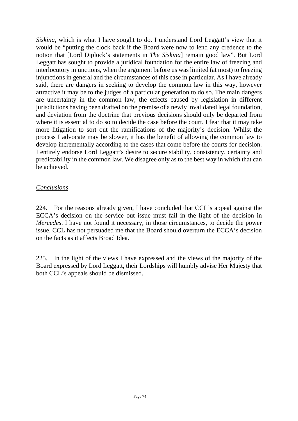*Siskina*, which is what I have sought to do. I understand Lord Leggatt's view that it would be "putting the clock back if the Board were now to lend any credence to the notion that [Lord Diplock's statements in *The Siskina*] remain good law". But Lord Leggatt has sought to provide a juridical foundation for the entire law of freezing and interlocutory injunctions, when the argument before us was limited (at most) to freezing injunctions in general and the circumstances of this case in particular. As I have already said, there are dangers in seeking to develop the common law in this way, however attractive it may be to the judges of a particular generation to do so. The main dangers are uncertainty in the common law, the effects caused by legislation in different jurisdictions having been drafted on the premise of a newly invalidated legal foundation, and deviation from the doctrine that previous decisions should only be departed from where it is essential to do so to decide the case before the court. I fear that it may take more litigation to sort out the ramifications of the majority's decision. Whilst the process I advocate may be slower, it has the benefit of allowing the common law to develop incrementally according to the cases that come before the courts for decision. I entirely endorse Lord Leggatt's desire to secure stability, consistency, certainty and predictability in the common law. We disagree only as to the best way in which that can be achieved.

### *Conclusions*

224. For the reasons already given, I have concluded that CCL's appeal against the ECCA's decision on the service out issue must fail in the light of the decision in *Mercedes*. I have not found it necessary, in those circumstances, to decide the power issue. CCL has not persuaded me that the Board should overturn the ECCA's decision on the facts as it affects Broad Idea.

225. In the light of the views I have expressed and the views of the majority of the Board expressed by Lord Leggatt, their Lordships will humbly advise Her Majesty that both CCL's appeals should be dismissed.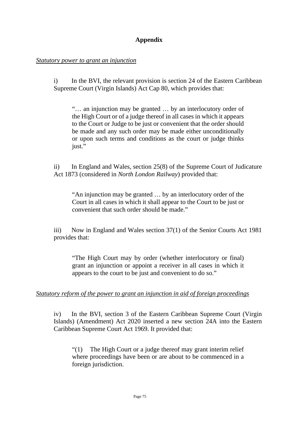## **Appendix**

### *Statutory power to grant an injunction*

i) In the BVI, the relevant provision is section 24 of the Eastern Caribbean Supreme Court (Virgin Islands) Act Cap 80, which provides that:

"… an injunction may be granted … by an interlocutory order of the High Court or of a judge thereof in all cases in which it appears to the Court or Judge to be just or convenient that the order should be made and any such order may be made either unconditionally or upon such terms and conditions as the court or judge thinks just."

ii) In England and Wales, section 25(8) of the Supreme Court of Judicature Act 1873 (considered in *North London Railway*) provided that:

"An injunction may be granted … by an interlocutory order of the Court in all cases in which it shall appear to the Court to be just or convenient that such order should be made."

iii) Now in England and Wales section 37(1) of the Senior Courts Act 1981 provides that:

"The High Court may by order (whether interlocutory or final) grant an injunction or appoint a receiver in all cases in which it appears to the court to be just and convenient to do so."

### *Statutory reform of the power to grant an injunction in aid of foreign proceedings*

iv) In the BVI, section 3 of the Eastern Caribbean Supreme Court (Virgin Islands) (Amendment) Act 2020 inserted a new section 24A into the Eastern Caribbean Supreme Court Act 1969. It provided that:

"(1) The High Court or a judge thereof may grant interim relief where proceedings have been or are about to be commenced in a foreign jurisdiction.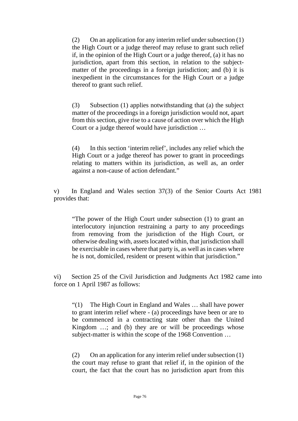(2) On an application for any interim relief under subsection (1) the High Court or a judge thereof may refuse to grant such relief if, in the opinion of the High Court or a judge thereof, (a) it has no jurisdiction, apart from this section, in relation to the subjectmatter of the proceedings in a foreign jurisdiction; and (b) it is inexpedient in the circumstances for the High Court or a judge thereof to grant such relief.

(3) Subsection (1) applies notwithstanding that (a) the subject matter of the proceedings in a foreign jurisdiction would not, apart from this section, give rise to a cause of action over which the High Court or a judge thereof would have jurisdiction …

(4) In this section 'interim relief', includes any relief which the High Court or a judge thereof has power to grant in proceedings relating to matters within its jurisdiction, as well as, an order against a non-cause of action defendant."

v) In England and Wales section 37(3) of the Senior Courts Act 1981 provides that:

"The power of the High Court under subsection (1) to grant an interlocutory injunction restraining a party to any proceedings from removing from the jurisdiction of the High Court, or otherwise dealing with, assets located within, that jurisdiction shall be exercisable in cases where that party is, as well as in cases where he is not, domiciled, resident or present within that jurisdiction."

vi) Section 25 of the Civil Jurisdiction and Judgments Act 1982 came into force on 1 April 1987 as follows:

"(1) The High Court in England and Wales … shall have power to grant interim relief where - (a) proceedings have been or are to be commenced in a contracting state other than the United Kingdom ...; and (b) they are or will be proceedings whose subject-matter is within the scope of the 1968 Convention …

(2) On an application for any interim relief under subsection (1) the court may refuse to grant that relief if, in the opinion of the court, the fact that the court has no jurisdiction apart from this